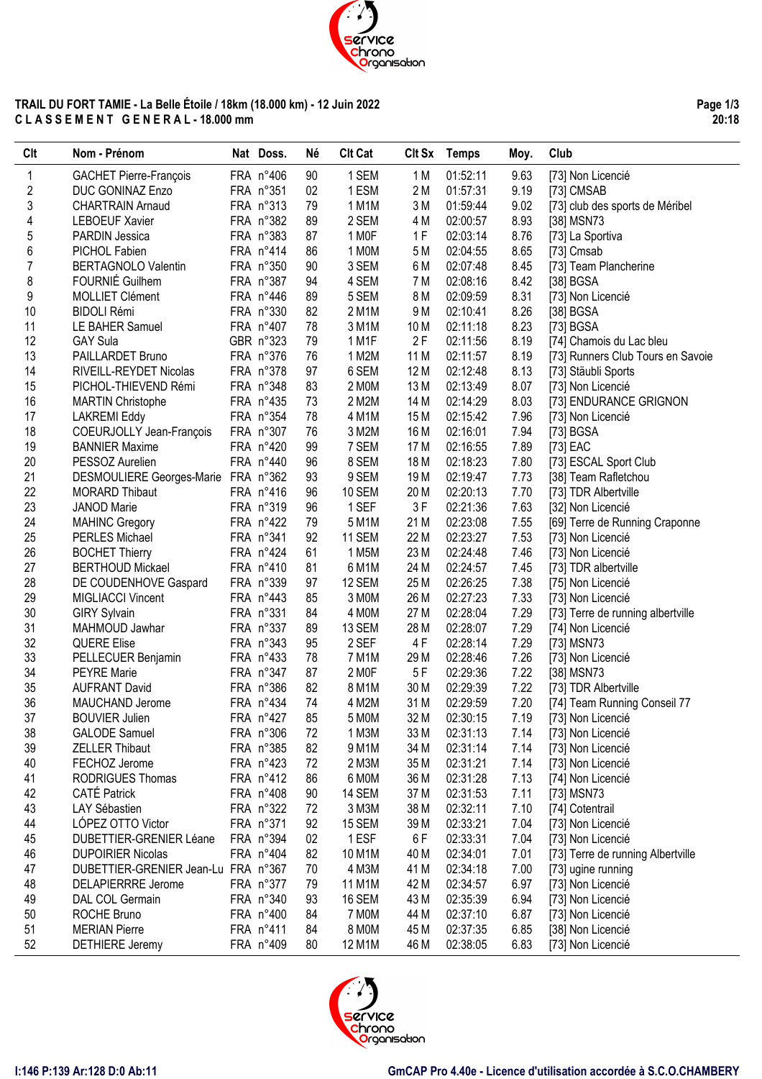

# **TRAIL DU FORT TAMIE - La Belle Étoile / 18km (18.000 km) - 12 Juin 2022 C L A S S E M E N T G E N E R A L - 18.000 mm**

**Page 1/3 20:18**

| <b>Clt</b>     | Nom - Prénom                             | Nat Doss.              | Né       | <b>Clt Cat</b> |              | Clt Sx Temps         | Moy.         | Club                                   |
|----------------|------------------------------------------|------------------------|----------|----------------|--------------|----------------------|--------------|----------------------------------------|
| 1              | GACHET Pierre-François                   | FRA n°406              | 90       | 1 SEM          | 1 M          | 01:52:11             | 9.63         | [73] Non Licencié                      |
| 2              | DUC GONINAZ Enzo                         | FRA n°351              | 02       | 1 ESM          | 2 M          | 01:57:31             | 9.19         | [73] CMSAB                             |
| 3              | <b>CHARTRAIN Arnaud</b>                  | FRA n°313              | 79       | 1 M1M          | 3M           | 01:59:44             | 9.02         | [73] club des sports de Méribel        |
| 4              | <b>LEBOEUF Xavier</b>                    | FRA n°382              | 89       | 2 SEM          | 4 M          | 02:00:57             | 8.93         | [38] MSN73                             |
| 5              | PARDIN Jessica                           | FRA n°383              | 87       | 1 MOF          | 1F           | 02:03:14             | 8.76         | [73] La Sportiva                       |
| 6              | PICHOL Fabien                            | FRA n°414              | 86       | 1 MOM          | 5 M          | 02:04:55             | 8.65         | [73] Cmsab                             |
| $\overline{7}$ | <b>BERTAGNOLO Valentin</b>               | FRA n°350              | 90       | 3 SEM          | 6 M          | 02:07:48             | 8.45         | [73] Team Plancherine                  |
| 8              | FOURNIÉ Guilhem                          | FRA n°387              | 94       | 4 SEM          | 7 M          | 02:08:16             | 8.42         | [38] BGSA                              |
| 9              | <b>MOLLIET Clément</b>                   | FRA n°446              | 89       | 5 SEM          | 8 M          | 02:09:59             | 8.31         | [73] Non Licencié                      |
| 10             | <b>BIDOLI Rémi</b>                       | FRA n°330              | 82       | 2 M1M          | 9 M          | 02:10:41             | 8.26         | [38] BGSA                              |
| 11             | LE BAHER Samuel                          | FRA n°407              | 78       | 3 M1M          | 10 M         | 02:11:18             | 8.23         | [73] BGSA                              |
| 12             | <b>GAY Sula</b>                          | GBR n°323              | 79       | 1 M1F          | 2F           | 02:11:56             | 8.19         | [74] Chamois du Lac bleu               |
| 13             | PAILLARDET Bruno                         | FRA n°376              | 76       | 1 M2M          | 11 M         | 02:11:57             | 8.19         | [73] Runners Club Tours en Savoie      |
| 14             | RIVEILL-REYDET Nicolas                   | FRA n°378              | 97       | 6 SEM          | 12 M         | 02:12:48             | 8.13         | [73] Stäubli Sports                    |
| 15             | PICHOL-THIEVEND Rémi                     | FRA n°348              | 83       | 2 MOM          | 13 M         | 02:13:49             | 8.07         | [73] Non Licencié                      |
| 16             | <b>MARTIN Christophe</b>                 | FRA n°435              | 73       | 2 M2M          | 14 M         | 02:14:29             | 8.03         | [73] ENDURANCE GRIGNON                 |
| 17             | <b>LAKREMI Eddy</b>                      | FRA n°354              | 78       | 4 M1M          | 15 M         | 02:15:42             | 7.96         | [73] Non Licencié                      |
| 18             | COEURJOLLY Jean-François                 | FRA n°307              | 76       | 3 M2M          | 16 M         | 02:16:01             | 7.94         | [73] BGSA                              |
| 19             | <b>BANNIER Maxime</b>                    | FRA n°420              | 99       | 7 SEM          | 17 M         | 02:16:55             | 7.89         | [73] EAC                               |
| 20             | PESSOZ Aurelien                          | FRA n°440              | 96       | 8 SEM          | 18 M         | 02:18:23             | 7.80         | [73] ESCAL Sport Club                  |
| 21             | DESMOULIERE Georges-Marie FRA n°362      |                        | 93       | 9 SEM          | 19 M         | 02:19:47             | 7.73         | [38] Team Rafletchou                   |
| 22             | <b>MORARD Thibaut</b>                    | FRA n°416              | 96       | <b>10 SEM</b>  | 20 M         | 02:20:13             | 7.70         | [73] TDR Albertville                   |
| 23             | <b>JANOD Marie</b>                       | FRA n°319              | 96       | 1 SEF          | 3F           | 02:21:36             | 7.63         | [32] Non Licencié                      |
| 24             | <b>MAHINC Gregory</b>                    | FRA n°422              | 79       | 5 M1M          | 21 M         | 02:23:08             | 7.55         | [69] Terre de Running Craponne         |
| 25             | PERLES Michael                           | FRA n°341              | 92       | 11 SEM         | 22 M         | 02:23:27             | 7.53         | [73] Non Licencié                      |
| 26             | <b>BOCHET Thierry</b>                    | FRA n°424              | 61       | 1 M5M          | 23 M         | 02:24:48             | 7.46         | [73] Non Licencié                      |
| 27             | <b>BERTHOUD Mickael</b>                  | FRA n°410              | 81       | 6 M1M          | 24 M         | 02:24:57             | 7.45         | [73] TDR albertville                   |
| 28             | DE COUDENHOVE Gaspard                    | FRA n°339              | 97       | 12 SEM         | 25 M         | 02:26:25             | 7.38         | [75] Non Licencié                      |
| 29             | MIGLIACCI Vincent                        | FRA n°443              | 85       | 3 MOM          | 26 M         | 02:27:23             | 7.33         | [73] Non Licencié                      |
| 30             | <b>GIRY Sylvain</b>                      | FRA n°331              | 84       | 4 MOM          | 27 M         | 02:28:04             | 7.29         | [73] Terre de running albertville      |
| 31             | MAHMOUD Jawhar                           | FRA n°337              | 89       | 13 SEM         | 28 M         | 02:28:07             | 7.29         | [74] Non Licencié                      |
| 32             | <b>QUERE Elise</b>                       | FRA n°343              | 95       | 2 SEF          | 4F           | 02:28:14             | 7.29         | [73] MSN73                             |
| 33             | PELLECUER Benjamin                       | FRA n°433              | 78       | 7 M1M          | 29 M         | 02:28:46             | 7.26         | [73] Non Licencié                      |
| 34             | <b>PEYRE Marie</b>                       | FRA n°347<br>FRA n°386 | 87       | 2 MOF<br>8 M1M | 5F           | 02:29:36             | 7.22         | [38] MSN73                             |
| 35             | <b>AUFRANT David</b>                     |                        | 82       |                | 30 M         | 02:29:39             | 7.22         | [73] TDR Albertville                   |
| 36<br>37       | MAUCHAND Jerome<br><b>BOUVIER Julien</b> | FRA n°434<br>FRA n°427 | 74<br>85 | 4 M2M<br>5 MOM | 31 M<br>32 M | 02:29:59<br>02:30:15 | 7.20<br>7.19 | [74] Team Running Conseil 77           |
| 38             | <b>GALODE</b> Samuel                     | FRA n°306              | 72       | 1 M3M          | 33 M         | 02:31:13             | 7.14         | [73] Non Licencié<br>[73] Non Licencié |
| 39             | <b>ZELLER Thibaut</b>                    | FRA n°385              | 82       | 9 M1M          | 34 M         | 02:31:14             | 7.14         | [73] Non Licencié                      |
| 40             | FECHOZ Jerome                            | FRA n°423              | 72       | 2 M3M          | 35 M         | 02:31:21             | 7.14         | [73] Non Licencié                      |
| 41             | <b>RODRIGUES Thomas</b>                  | FRA n°412              | 86       | 6 MOM          | 36 M         | 02:31:28             | 7.13         | [74] Non Licencié                      |
| 42             | <b>CATÉ Patrick</b>                      | FRA n°408              | 90       | 14 SEM         | 37 M         | 02:31:53             | 7.11         | [73] MSN73                             |
| 43             | LAY Sébastien                            | FRA n°322              | 72       | 3 M3M          | 38 M         | 02:32:11             | 7.10         | [74] Cotentrail                        |
| 44             | LÓPEZ OTTO Victor                        | FRA n°371              | 92       | 15 SEM         | 39 M         | 02:33:21             | 7.04         | [73] Non Licencié                      |
| 45             | <b>DUBETTIER-GRENIER Léane</b>           | FRA n°394              | 02       | 1 ESF          | 6F           | 02:33:31             | 7.04         | [73] Non Licencié                      |
| 46             | <b>DUPOIRIER Nicolas</b>                 | FRA n°404              | 82       | 10 M1M         | 40 M         | 02:34:01             | 7.01         | [73] Terre de running Albertville      |
| 47             | DUBETTIER-GRENIER Jean-Lu FRA n°367      |                        | 70       | 4 M3M          | 41 M         | 02:34:18             | 7.00         | [73] ugine running                     |
| 48             | <b>DELAPIERRRE Jerome</b>                | FRA n°377              | 79       | 11 M1M         | 42 M         | 02:34:57             | 6.97         | [73] Non Licencié                      |
| 49             | DAL COL Germain                          | FRA n°340              | 93       | 16 SEM         | 43 M         | 02:35:39             | 6.94         | [73] Non Licencié                      |
| 50             | ROCHE Bruno                              | FRA n°400              | 84       | 7 MOM          | 44 M         | 02:37:10             | 6.87         | [73] Non Licencié                      |
| 51             | <b>MERIAN Pierre</b>                     | FRA n°411              | 84       | 8 MOM          | 45 M         | 02:37:35             | 6.85         | [38] Non Licencié                      |
| 52             | <b>DETHIERE Jeremy</b>                   | FRA n°409              | 80       | 12 M1M         | 46 M         | 02:38:05             | 6.83         | [73] Non Licencié                      |
|                |                                          |                        |          |                |              |                      |              |                                        |

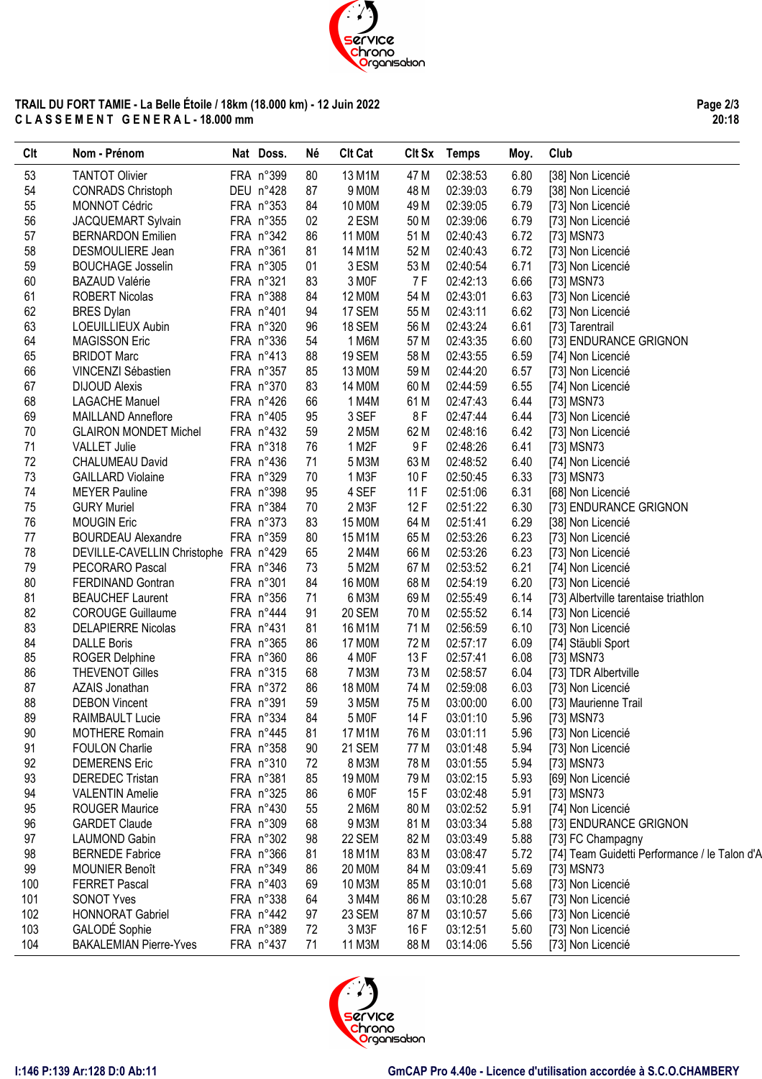

# **TRAIL DU FORT TAMIE - La Belle Étoile / 18km (18.000 km) - 12 Juin 2022 C L A S S E M E N T G E N E R A L - 18.000 mm**

| <b>CIt</b> | Nom - Prénom                          | Nat Doss.          | Né | <b>Clt Cat</b> |      | Clt Sx Temps | Moy. | Club                                          |
|------------|---------------------------------------|--------------------|----|----------------|------|--------------|------|-----------------------------------------------|
| 53         | <b>TANTOT Olivier</b>                 | FRA n°399          | 80 | 13 M1M         | 47 M | 02:38:53     | 6.80 | [38] Non Licencié                             |
| 54         | <b>CONRADS Christoph</b>              | DEU n°428          | 87 | 9 M0M          | 48 M | 02:39:03     | 6.79 | [38] Non Licencié                             |
| 55         | <b>MONNOT Cédric</b>                  | FRA n°353          | 84 | 10 MOM         | 49 M | 02:39:05     | 6.79 | [73] Non Licencié                             |
| 56         | JACQUEMART Sylvain                    | FRA n°355          | 02 | 2 ESM          | 50 M | 02:39:06     | 6.79 | [73] Non Licencié                             |
| 57         | <b>BERNARDON Emilien</b>              | FRA n°342          | 86 | 11 M0M         | 51 M | 02:40:43     | 6.72 | [73] MSN73                                    |
| 58         | DESMOULIERE Jean                      | FRA n°361          | 81 | 14 M1M         | 52 M | 02:40:43     | 6.72 | [73] Non Licencié                             |
| 59         | <b>BOUCHAGE Josselin</b>              | FRA n°305          | 01 | 3 ESM          | 53 M | 02:40:54     | 6.71 | [73] Non Licencié                             |
| 60         | <b>BAZAUD Valérie</b>                 | FRA n°321          | 83 | 3 MOF          | 7 F  | 02:42:13     | 6.66 | [73] MSN73                                    |
| 61         | <b>ROBERT Nicolas</b>                 | FRA n°388          | 84 | 12 MOM         | 54 M | 02:43:01     | 6.63 | [73] Non Licencié                             |
| 62         | <b>BRES Dylan</b>                     | FRA n°401          | 94 | 17 SEM         | 55 M | 02:43:11     | 6.62 | [73] Non Licencié                             |
| 63         | LOEUILLIEUX Aubin                     | FRA n°320          | 96 | 18 SEM         | 56 M | 02:43:24     | 6.61 | [73] Tarentrail                               |
| 64         | <b>MAGISSON Eric</b>                  | FRA n°336          | 54 | 1 M6M          | 57 M | 02:43:35     | 6.60 | [73] ENDURANCE GRIGNON                        |
| 65         | <b>BRIDOT Marc</b>                    | FRA n°413          | 88 | 19 SEM         | 58 M | 02:43:55     | 6.59 | [74] Non Licencié                             |
| 66         | VINCENZI Sébastien                    | FRA n°357          | 85 | 13 MOM         | 59 M | 02:44:20     | 6.57 | [73] Non Licencié                             |
| 67         | <b>DIJOUD Alexis</b>                  | FRA n°370          | 83 | 14 M0M         | 60 M | 02:44:59     | 6.55 | [74] Non Licencié                             |
| 68         | <b>LAGACHE Manuel</b>                 | FRA n°426          | 66 | 1 M4M          | 61 M | 02:47:43     | 6.44 | [73] MSN73                                    |
| 69         | <b>MAILLAND Anneflore</b>             | FRA n°405          | 95 | 3 SEF          | 8 F  | 02:47:44     | 6.44 | [73] Non Licencié                             |
| 70         | <b>GLAIRON MONDET Michel</b>          | FRA $n^{\circ}432$ | 59 | 2 M5M          | 62 M | 02:48:16     | 6.42 | [73] Non Licencié                             |
| 71         | <b>VALLET Julie</b>                   | FRA n°318          | 76 | 1 M2F          | 9F   | 02:48:26     | 6.41 | [73] MSN73                                    |
| 72         | CHALUMEAU David                       | FRA n°436          | 71 | 5 M3M          | 63 M | 02:48:52     | 6.40 | [74] Non Licencié                             |
| 73         | <b>GAILLARD Violaine</b>              | FRA n°329          | 70 | 1 M3F          | 10F  | 02:50:45     | 6.33 | [73] MSN73                                    |
| 74         | <b>MEYER Pauline</b>                  | FRA n°398          | 95 | 4 SEF          | 11F  | 02:51:06     | 6.31 | [68] Non Licencié                             |
| 75         | <b>GURY Muriel</b>                    | FRA n°384          | 70 | 2 M3F          | 12F  | 02:51:22     | 6.30 | [73] ENDURANCE GRIGNON                        |
| 76         | <b>MOUGIN Eric</b>                    | FRA n°373          | 83 | 15 M0M         | 64 M | 02:51:41     | 6.29 | [38] Non Licencié                             |
| 77         | <b>BOURDEAU Alexandre</b>             | FRA n°359          | 80 | 15 M1M         | 65 M | 02:53:26     | 6.23 | [73] Non Licencié                             |
| 78         | DEVILLE-CAVELLIN Christophe FRA n°429 |                    | 65 | 2 M4M          | 66 M | 02:53:26     | 6.23 | [73] Non Licencié                             |
| 79         | PECORARO Pascal                       | FRA n°346          | 73 | 5 M2M          | 67 M | 02:53:52     | 6.21 | [74] Non Licencié                             |
| 80         | FERDINAND Gontran                     | FRA n°301          | 84 | 16 M0M         | 68 M | 02:54:19     | 6.20 | [73] Non Licencié                             |
| 81         | <b>BEAUCHEF Laurent</b>               | FRA n°356          | 71 | 6 M3M          | 69 M | 02:55:49     | 6.14 | [73] Albertville tarentaise triathlon         |
| 82         | <b>COROUGE Guillaume</b>              | FRA n°444          | 91 | 20 SEM         | 70 M | 02:55:52     | 6.14 | [73] Non Licencié                             |
| 83         | <b>DELAPIERRE Nicolas</b>             | FRA n°431          | 81 | 16 M1M         | 71 M | 02:56:59     | 6.10 | [73] Non Licencié                             |
| 84         | <b>DALLE Boris</b>                    | FRA n°365          | 86 | 17 M0M         | 72 M | 02:57:17     | 6.09 | [74] Stäubli Sport                            |
| 85         | <b>ROGER Delphine</b>                 | FRA n°360          | 86 | 4 MOF          | 13F  | 02:57:41     | 6.08 | [73] MSN73                                    |
| 86         | <b>THEVENOT Gilles</b>                | FRA n°315          | 68 | 7 M3M          | 73 M | 02:58:57     | 6.04 | [73] TDR Albertville                          |
| 87         | AZAIS Jonathan                        | FRA n°372          | 86 | 18 M0M         | 74 M | 02:59:08     | 6.03 | [73] Non Licencié                             |
| 88         | <b>DEBON Vincent</b>                  | FRA n°391          | 59 | 3 M5M          | 75 M | 03:00:00     | 6.00 | [73] Maurienne Trail                          |
| 89         | RAIMBAULT Lucie                       | FRA n°334          | 84 | 5 MOF          | 14 F | 03:01:10     | 5.96 | [73] MSN73                                    |
| 90         | <b>MOTHERE Romain</b>                 | FRA n°445          | 81 | 17 M1M         | 76 M | 03:01:11     | 5.96 | [73] Non Licencié                             |
| 91         | <b>FOULON Charlie</b>                 | FRA n°358          | 90 | 21 SEM         | 77 M | 03:01:48     | 5.94 | [73] Non Licencié                             |
| 92         | <b>DEMERENS Eric</b>                  | FRA n°310          | 72 | 8 M3M          | 78 M | 03:01:55     | 5.94 | [73] MSN73                                    |
| 93         | <b>DEREDEC Tristan</b>                | FRA n°381          | 85 | 19 M0M         | 79 M | 03:02:15     | 5.93 | [69] Non Licencié                             |
| 94         | <b>VALENTIN Amelie</b>                | FRA n°325          | 86 | 6 MOF          | 15F  | 03:02:48     | 5.91 | [73] MSN73                                    |
| 95         | <b>ROUGER Maurice</b>                 | FRA n°430          | 55 | 2 M6M          | 80 M | 03:02:52     | 5.91 | [74] Non Licencié                             |
| 96         | <b>GARDET Claude</b>                  | FRA n°309          | 68 | 9 M3M          | 81 M | 03:03:34     | 5.88 | [73] ENDURANCE GRIGNON                        |
| 97         | <b>LAUMOND Gabin</b>                  | FRA n°302          | 98 | 22 SEM         | 82 M | 03:03:49     | 5.88 | [73] FC Champagny                             |
| 98         | <b>BERNEDE Fabrice</b>                | FRA n°366          | 81 | 18 M1M         | 83 M | 03:08:47     | 5.72 | [74] Team Guidetti Performance / le Talon d'A |
| 99         | <b>MOUNIER Benoît</b>                 | FRA n°349          | 86 | 20 MOM         | 84 M | 03:09:41     | 5.69 | [73] MSN73                                    |
| 100        | <b>FERRET Pascal</b>                  | FRA n°403          | 69 | 10 M3M         | 85 M | 03:10:01     | 5.68 | [73] Non Licencié                             |
| 101        | <b>SONOT Yves</b>                     | FRA n°338          | 64 | 3 M4M          | 86 M | 03:10:28     | 5.67 | [73] Non Licencié                             |
| 102        | <b>HONNORAT Gabriel</b>               | FRA n°442          | 97 | 23 SEM         | 87 M | 03:10:57     | 5.66 |                                               |
|            |                                       |                    |    |                |      |              |      | [73] Non Licencié                             |
| 103        | GALODÉ Sophie                         | FRA n°389          | 72 | 3 M3F          | 16 F | 03:12:51     | 5.60 | [73] Non Licencié                             |
| 104        | <b>BAKALEMIAN Pierre-Yves</b>         | FRA n°437          | 71 | 11 M3M         | 88 M | 03:14:06     | 5.56 | [73] Non Licencié                             |

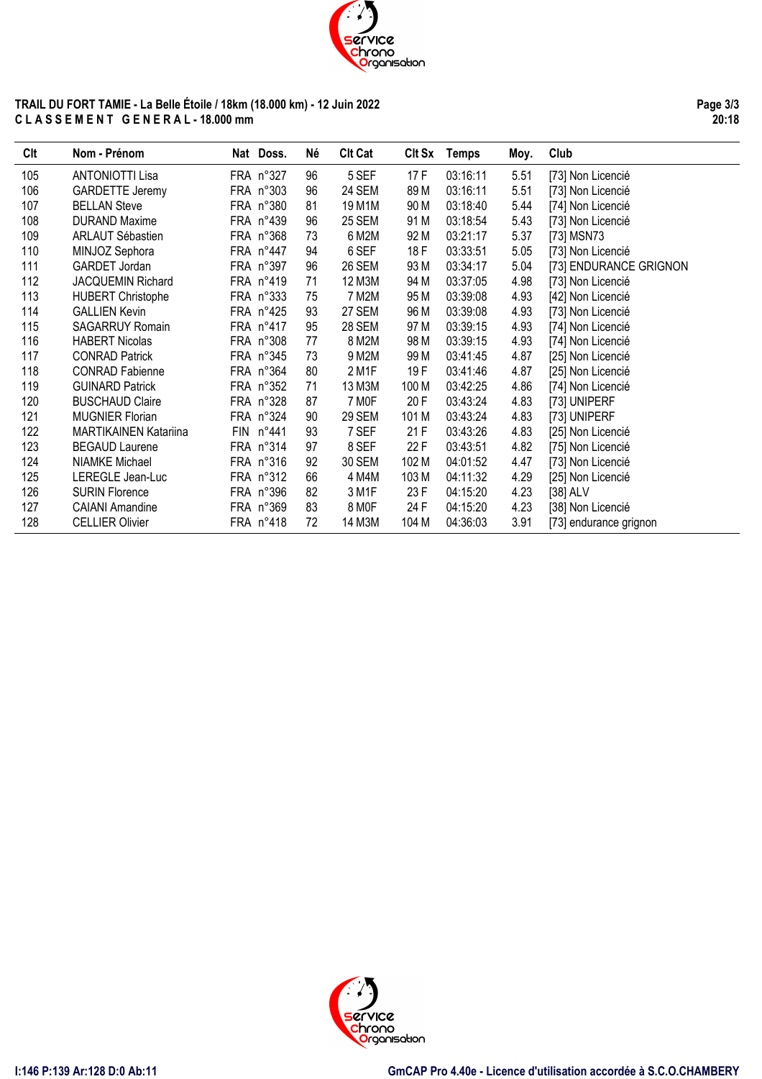

## **TRAIL DU FORT TAMIE - La Belle Étoile / 18km (18.000 km) - 12 Juin 2022 C L A S S E M E N T G E N E R A L - 18.000 mm**

**Page 3/3 20:18**

| Clt | Nom - Prénom                 | Nat Doss. | Né | <b>Clt Cat</b> | CIt Sx | <b>Temps</b> | Moy. | Club                   |
|-----|------------------------------|-----------|----|----------------|--------|--------------|------|------------------------|
| 105 | <b>ANTONIOTTI Lisa</b>       | FRA n°327 | 96 | 5 SEF          | 17F    | 03:16:11     | 5.51 | [73] Non Licencié      |
| 106 | <b>GARDETTE Jeremy</b>       | FRA n°303 | 96 | <b>24 SEM</b>  | 89 M   | 03:16:11     | 5.51 | [73] Non Licencié      |
| 107 | <b>BELLAN Steve</b>          | FRA n°380 | 81 | 19 M1M         | 90 M   | 03:18:40     | 5.44 | [74] Non Licencié      |
| 108 | <b>DURAND Maxime</b>         | FRA n°439 | 96 | <b>25 SEM</b>  | 91 M   | 03:18:54     | 5.43 | [73] Non Licencié      |
| 109 | <b>ARLAUT Sébastien</b>      | FRA n°368 | 73 | 6 M2M          | 92 M   | 03:21:17     | 5.37 | [73] MSN73             |
| 110 | MINJOZ Sephora               | FRA n°447 | 94 | 6 SEF          | 18 F   | 03:33:51     | 5.05 | [73] Non Licencié      |
| 111 | GARDET Jordan                | FRA n°397 | 96 | <b>26 SEM</b>  | 93 M   | 03:34:17     | 5.04 | [73] ENDURANCE GRIGNON |
| 112 | JACQUEMIN Richard            | FRA n°419 | 71 | 12 M3M         | 94 M   | 03:37:05     | 4.98 | [73] Non Licencié      |
| 113 | <b>HUBERT Christophe</b>     | FRA n°333 | 75 | 7 M2M          | 95 M   | 03:39:08     | 4.93 | [42] Non Licencié      |
| 114 | <b>GALLIEN Kevin</b>         | FRA n°425 | 93 | 27 SEM         | 96 M   | 03:39:08     | 4.93 | [73] Non Licencié      |
| 115 | <b>SAGARRUY Romain</b>       | FRA n°417 | 95 | 28 SEM         | 97 M   | 03:39:15     | 4.93 | [74] Non Licencié      |
| 116 | <b>HABERT Nicolas</b>        | FRA n°308 | 77 | 8 M2M          | 98 M   | 03:39:15     | 4.93 | [74] Non Licencié      |
| 117 | <b>CONRAD Patrick</b>        | FRA n°345 | 73 | 9 M2M          | 99 M   | 03:41:45     | 4.87 | [25] Non Licencié      |
| 118 | <b>CONRAD Fabienne</b>       | FRA n°364 | 80 | 2 M1F          | 19F    | 03:41:46     | 4.87 | [25] Non Licencié      |
| 119 | <b>GUINARD Patrick</b>       | FRA n°352 | 71 | 13 M3M         | 100 M  | 03:42:25     | 4.86 | [74] Non Licencié      |
| 120 | <b>BUSCHAUD Claire</b>       | FRA n°328 | 87 | 7 MOF          | 20 F   | 03:43:24     | 4.83 | [73] UNIPERF           |
| 121 | <b>MUGNIER Florian</b>       | FRA n°324 | 90 | <b>29 SEM</b>  | 101 M  | 03:43:24     | 4.83 | [73] UNIPERF           |
| 122 | <b>MARTIKAINEN Katariina</b> | FIN n°441 | 93 | 7 SEF          | 21F    | 03:43:26     | 4.83 | [25] Non Licencié      |
| 123 | <b>BEGAUD Laurene</b>        | FRA n°314 | 97 | 8 SEF          | 22 F   | 03:43:51     | 4.82 | [75] Non Licencié      |
| 124 | NIAMKE Michael               | FRA n°316 | 92 | 30 SEM         | 102 M  | 04:01:52     | 4.47 | [73] Non Licencié      |
| 125 | LEREGLE Jean-Luc             | FRA n°312 | 66 | 4 M4M          | 103 M  | 04:11:32     | 4.29 | [25] Non Licencié      |
| 126 | <b>SURIN Florence</b>        | FRA n°396 | 82 | 3 M1F          | 23 F   | 04:15:20     | 4.23 | [38] ALV               |
| 127 | <b>CAIANI Amandine</b>       | FRA n°369 | 83 | 8 MOF          | 24 F   | 04:15:20     | 4.23 | [38] Non Licencié      |
| 128 | <b>CELLIER Olivier</b>       | FRA n°418 | 72 | 14 M3M         | 104 M  | 04:36:03     | 3.91 | [73] endurance grignon |

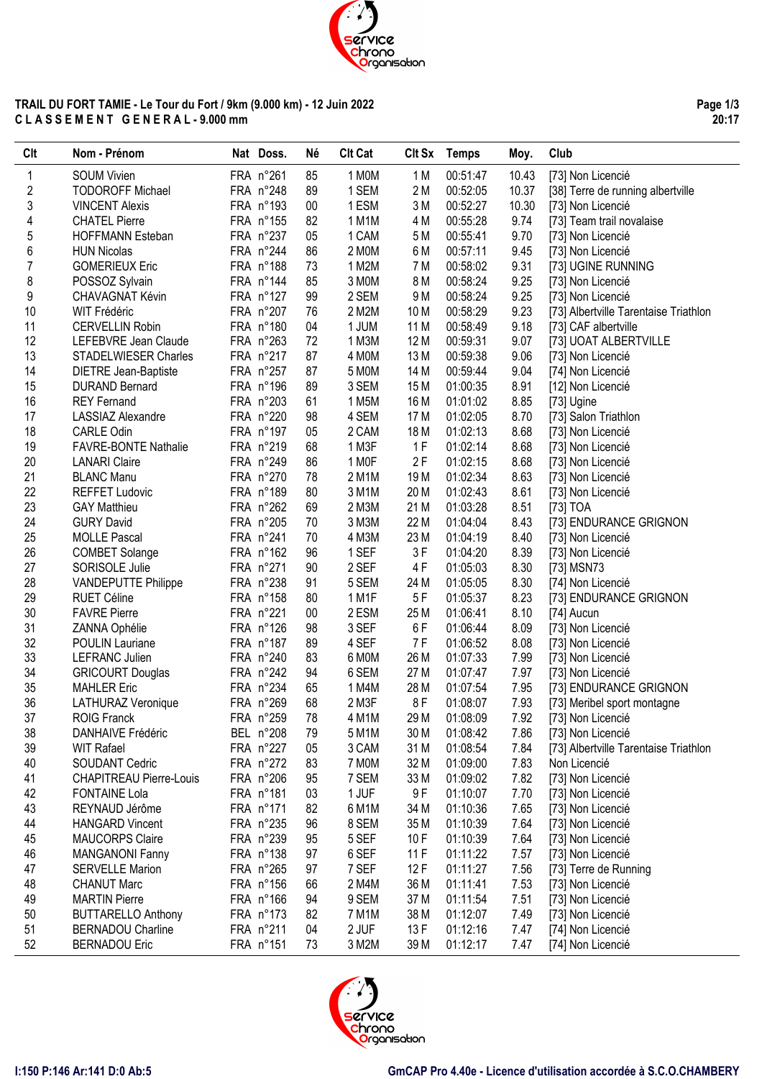

## **TRAIL DU FORT TAMIE - Le Tour du Fort / 9km (9.000 km) - 12 Juin 2022 C L A S S E M E N T G E N E R A L - 9.000 mm**

| Clt | Nom - Prénom                   | Nat Doss. | Né     | <b>Clt Cat</b> | Clt Sx          | Temps    | Moy.  | Club                                  |
|-----|--------------------------------|-----------|--------|----------------|-----------------|----------|-------|---------------------------------------|
| 1   | <b>SOUM Vivien</b>             | FRA n°261 | 85     | 1 MOM          | 1 M             | 00:51:47 | 10.43 | [73] Non Licencié                     |
| 2   | <b>TODOROFF Michael</b>        | FRA n°248 | 89     | 1 SEM          | 2M              | 00:52:05 | 10.37 | [38] Terre de running albertville     |
| 3   | <b>VINCENT Alexis</b>          | FRA n°193 | $00\,$ | 1 ESM          | 3M              | 00:52:27 | 10.30 | [73] Non Licencié                     |
| 4   | <b>CHATEL Pierre</b>           | FRA n°155 | 82     | 1 M1M          | 4 M             | 00:55:28 | 9.74  | [73] Team trail novalaise             |
| 5   | <b>HOFFMANN Esteban</b>        | FRA n°237 | 05     | 1 CAM          | 5 M             | 00:55:41 | 9.70  | [73] Non Licencié                     |
| 6   | <b>HUN Nicolas</b>             | FRA n°244 | 86     | 2 MOM          | 6 M             | 00:57:11 | 9.45  | [73] Non Licencié                     |
| 7   | <b>GOMERIEUX Eric</b>          | FRA n°188 | 73     | 1 M2M          | 7 M             | 00:58:02 | 9.31  | [73] UGINE RUNNING                    |
| 8   | POSSOZ Sylvain                 | FRA n°144 | 85     | 3 MOM          | 8 M             | 00:58:24 | 9.25  | [73] Non Licencié                     |
| 9   | <b>CHAVAGNAT Kévin</b>         | FRA n°127 | 99     | 2 SEM          | 9 M             | 00:58:24 | 9.25  | [73] Non Licencié                     |
| 10  | <b>WIT Frédéric</b>            | FRA n°207 | 76     | 2 M2M          | 10 M            | 00:58:29 | 9.23  | [73] Albertville Tarentaise Triathlon |
| 11  | <b>CERVELLIN Robin</b>         | FRA n°180 | 04     | 1 JUM          | 11 M            | 00:58:49 | 9.18  | [73] CAF albertville                  |
| 12  | LEFEBVRE Jean Claude           | FRA n°263 | 72     | 1 M3M          | 12 M            | 00:59:31 | 9.07  | [73] UOAT ALBERTVILLE                 |
| 13  | STADELWIESER Charles           | FRA n°217 | 87     | 4 MOM          | 13 M            | 00:59:38 | 9.06  | [73] Non Licencié                     |
| 14  | <b>DIETRE Jean-Baptiste</b>    | FRA n°257 | 87     | 5 M0M          | 14 M            | 00:59:44 | 9.04  | [74] Non Licencié                     |
| 15  | <b>DURAND Bernard</b>          | FRA n°196 | 89     | 3 SEM          | 15 M            | 01:00:35 | 8.91  | [12] Non Licencié                     |
| 16  | <b>REY Fernand</b>             | FRA n°203 | 61     | 1 M5M          | 16 M            | 01:01:02 | 8.85  | [73] Ugine                            |
| 17  | LASSIAZ Alexandre              | FRA n°220 | 98     | 4 SEM          | 17 M            | 01:02:05 | 8.70  | [73] Salon Triathlon                  |
| 18  | CARLE Odin                     | FRA n°197 | 05     | 2 CAM          | 18 M            | 01:02:13 | 8.68  | [73] Non Licencié                     |
| 19  | <b>FAVRE-BONTE Nathalie</b>    | FRA n°219 | 68     | 1 M3F          | 1F              | 01:02:14 | 8.68  | [73] Non Licencié                     |
| 20  | <b>LANARI Claire</b>           | FRA n°249 | 86     | 1 MOF          | 2F              | 01:02:15 | 8.68  | [73] Non Licencié                     |
| 21  | <b>BLANC Manu</b>              | FRA n°270 | 78     | 2 M1M          | 19 <sub>M</sub> | 01:02:34 | 8.63  | [73] Non Licencié                     |
| 22  | <b>REFFET Ludovic</b>          | FRA n°189 | 80     | 3 M1M          | 20 M            | 01:02:43 | 8.61  | [73] Non Licencié                     |
| 23  | <b>GAY Matthieu</b>            | FRA n°262 | 69     | 2 M3M          | 21 M            | 01:03:28 | 8.51  | [73] TOA                              |
| 24  | <b>GURY David</b>              | FRA n°205 | 70     | 3 M3M          | 22 M            | 01:04:04 | 8.43  | [73] ENDURANCE GRIGNON                |
| 25  | <b>MOLLE Pascal</b>            | FRA n°241 | 70     | 4 M3M          | 23 M            | 01:04:19 | 8.40  | [73] Non Licencié                     |
| 26  | <b>COMBET Solange</b>          | FRA n°162 | 96     | 1 SEF          | 3F              | 01:04:20 | 8.39  | [73] Non Licencié                     |
| 27  | SORISOLE Julie                 | FRA n°271 | 90     | 2 SEF          | 4F              | 01:05:03 | 8.30  | [73] MSN73                            |
| 28  | VANDEPUTTE Philippe            | FRA n°238 | 91     | 5 SEM          | 24 M            | 01:05:05 | 8.30  | [74] Non Licencié                     |
| 29  | <b>RUET Céline</b>             | FRA n°158 | 80     | 1 M1F          | 5F              | 01:05:37 | 8.23  | [73] ENDURANCE GRIGNON                |
| 30  | <b>FAVRE Pierre</b>            | FRA n°221 | $00\,$ | 2 ESM          | 25 M            | 01:06:41 | 8.10  | [74] Aucun                            |
| 31  | ZANNA Ophélie                  | FRA n°126 | 98     | 3 SEF          | 6F              | 01:06:44 | 8.09  | [73] Non Licencié                     |
| 32  | POULIN Lauriane                | FRA n°187 | 89     | 4 SEF          | 7 F             | 01:06:52 | 8.08  | [73] Non Licencié                     |
| 33  | LEFRANC Julien                 | FRA n°240 | 83     | 6 MOM          | 26 M            | 01:07:33 | 7.99  | [73] Non Licencié                     |
| 34  | <b>GRICOURT Douglas</b>        | FRA n°242 | 94     | 6 SEM          | 27 M            | 01:07:47 | 7.97  | [73] Non Licencié                     |
| 35  | <b>MAHLER Eric</b>             | FRA n°234 | 65     | 1 M4M          | 28 M            | 01:07:54 | 7.95  | [73] ENDURANCE GRIGNON                |
| 36  | LATHURAZ Veronique             | FRA n°269 | 68     | 2 M3F          | 8F              | 01:08:07 | 7.93  | [73] Meribel sport montagne           |
| 37  | <b>ROIG Franck</b>             | FRA n°259 | 78     | 4 M1M          | 29 M            | 01:08:09 | 7.92  | [73] Non Licencié                     |
| 38  | <b>DANHAIVE Frédéric</b>       | BEL n°208 | 79     | 5 M1M          | 30 M            | 01:08:42 | 7.86  | [73] Non Licencié                     |
| 39  | <b>WIT Rafael</b>              | FRA n°227 | 05     | 3 CAM          | 31 M            | 01:08:54 | 7.84  | [73] Albertville Tarentaise Triathlon |
| 40  | SOUDANT Cedric                 | FRA n°272 | 83     | 7 MOM          | 32 M            | 01:09:00 | 7.83  | Non Licencié                          |
| 41  | <b>CHAPITREAU Pierre-Louis</b> | FRA n°206 | 95     | 7 SEM          | 33 M            | 01:09:02 | 7.82  | [73] Non Licencié                     |
| 42  | <b>FONTAINE Lola</b>           | FRA n°181 | 03     | 1 JUF          | 9F              | 01:10:07 | 7.70  | [73] Non Licencié                     |
| 43  | REYNAUD Jérôme                 | FRA n°171 | 82     | 6 M1M          | 34 M            | 01:10:36 | 7.65  | [73] Non Licencié                     |
| 44  | <b>HANGARD Vincent</b>         | FRA n°235 | 96     | 8 SEM          | 35 M            | 01:10:39 | 7.64  | [73] Non Licencié                     |
| 45  | <b>MAUCORPS Claire</b>         | FRA n°239 | 95     | 5 SEF          | 10F             | 01:10:39 | 7.64  | [73] Non Licencié                     |
| 46  | <b>MANGANONI Fanny</b>         | FRA n°138 | 97     | 6 SEF          | 11F             | 01:11:22 | 7.57  | [73] Non Licencié                     |
| 47  | <b>SERVELLE Marion</b>         | FRA n°265 | 97     | 7 SEF          | 12F             | 01:11:27 | 7.56  | [73] Terre de Running                 |
| 48  | <b>CHANUT Marc</b>             | FRA n°156 | 66     | 2 M4M          | 36 M            | 01:11:41 | 7.53  | [73] Non Licencié                     |
| 49  | <b>MARTIN Pierre</b>           | FRA n°166 | 94     | 9 SEM          | 37 M            | 01:11:54 | 7.51  | [73] Non Licencié                     |
| 50  | <b>BUTTARELLO Anthony</b>      | FRA n°173 | 82     | 7 M1M          | 38 M            | 01:12:07 | 7.49  | [73] Non Licencié                     |
| 51  | <b>BERNADOU Charline</b>       | FRA n°211 | 04     | 2 JUF          | 13F             | 01:12:16 | 7.47  | [74] Non Licencié                     |
| 52  | <b>BERNADOU Eric</b>           | FRA n°151 | 73     | 3 M2M          | 39 M            | 01:12:17 | 7.47  | [74] Non Licencié                     |

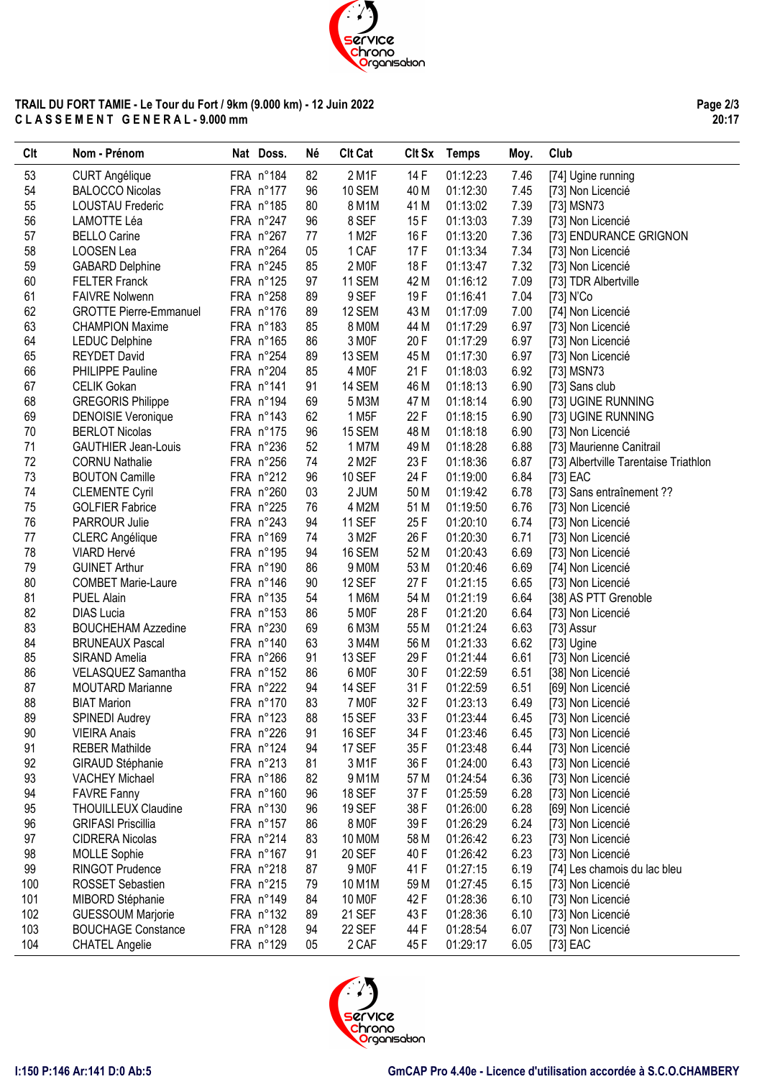

## **TRAIL DU FORT TAMIE - Le Tour du Fort / 9km (9.000 km) - 12 Juin 2022 C L A S S E M E N T G E N E R A L - 9.000 mm**

**Page 2/3 20:17**

| 53<br>FRA n°184<br>2 M1F<br>14 F<br>01:12:23<br><b>CURT Angélique</b><br>82<br>7.46<br>[74] Ugine running<br>54<br>FRA n°177<br>10 SEM<br>01:12:30<br>7.45<br>[73] Non Licencié<br><b>BALOCCO Nicolas</b><br>96<br>40 M<br>55<br>FRA n°185<br>01:13:02<br>7.39<br>80<br>8 M1M<br>41 M<br>[73] MSN73<br><b>LOUSTAU Frederic</b><br>56<br>8 SEF<br>7.39<br>FRA n°247<br>96<br>15F<br>01:13:03<br>[73] Non Licencié<br>LAMOTTE Léa<br>57<br>FRA n°267<br>7.36<br><b>BELLO Carine</b><br>77<br>1 M <sub>2</sub> F<br>16 F<br>01:13:20<br>[73] ENDURANCE GRIGNON<br>58<br>FRA n°264<br>1 CAF<br>01:13:34<br>LOOSEN Lea<br>05<br>17 F<br>7.34<br>[73] Non Licencié<br>59<br>FRA n°245<br>2 MOF<br>18 F<br>7.32<br><b>GABARD Delphine</b><br>85<br>01:13:47<br>[73] Non Licencié<br>60<br>FRA n°125<br>11 SEM<br>7.09<br><b>FELTER Franck</b><br>97<br>42 M<br>01:16:12<br>[73] TDR Albertville<br>61<br>FRA n°258<br>9 SEF<br>19F<br>7.04<br><b>FAIVRE Nolwenn</b><br>89<br>01:16:41<br>[73] N'Co<br>62<br><b>GROTTE Pierre-Emmanuel</b><br>FRA n°176<br>89<br>12 SEM<br>43 M<br>01:17:09<br>7.00<br>[74] Non Licencié<br>63<br>6.97<br><b>CHAMPION Maxime</b><br>FRA n°183<br>85<br>8 MOM<br>44 M<br>01:17:29<br>[73] Non Licencié<br>64<br>3 MOF<br>20F<br>6.97<br>FRA n°165<br>86<br>01:17:29<br><b>LEDUC Delphine</b><br>[73] Non Licencié<br>65<br>6.97<br><b>REYDET David</b><br>FRA n°254<br>89<br>13 SEM<br>45 M<br>01:17:30<br>[73] Non Licencié<br>66<br>6.92<br>FRA n°204<br>85<br>4 M <sub>OF</sub><br>21F<br>01:18:03<br>PHILIPPE Pauline<br>[73] MSN73<br>67<br>FRA n°141<br>14 SEM<br>6.90<br><b>CELIK Gokan</b><br>91<br>46 M<br>01:18:13<br>[73] Sans club<br>68<br>6.90<br>FRA n°194<br>69<br>01:18:14<br><b>GREGORIS Philippe</b><br>5 M3M<br>47 M<br>[73] UGINE RUNNING<br>69<br>62<br>1 M <sub>5</sub> F<br>22 F<br>6.90<br><b>DENOISIE Veronique</b><br>FRA n°143<br>01:18:15<br>[73] UGINE RUNNING<br>70<br>FRA n°175<br>96<br>6.90<br><b>BERLOT Nicolas</b><br><b>15 SEM</b><br>48 M<br>01:18:18<br>[73] Non Licencié<br>71<br>6.88<br>FRA n°236<br>52<br>1 M7M<br>01:18:28<br><b>GAUTHIER Jean-Louis</b><br>49 M<br>[73] Maurienne Canitrail<br>72<br>FRA n°256<br>74<br>2 M2F<br>23 F<br>01:18:36<br>6.87<br><b>CORNU Nathalie</b><br>[73] Albertville Tarentaise Triathlon<br>73<br>6.84<br>FRA n°212<br><b>10 SEF</b><br>24 F<br><b>BOUTON Camille</b><br>96<br>01:19:00<br>[73] EAC<br>74<br>FRA n°260<br>03<br>2 JUM<br>6.78<br><b>CLEMENTE Cyril</b><br>50 M<br>01:19:42<br>[73] Sans entraînement ??<br>75<br>FRA n°225<br>76<br>6.76<br><b>GOLFIER Fabrice</b><br>4 M2M<br>51 M<br>01:19:50<br>[73] Non Licencié<br>76<br>FRA n°243<br>94<br>25F<br>01:20:10<br>6.74<br>PARROUR Julie<br><b>11 SEF</b><br>[73] Non Licencié<br>77<br>FRA n°169<br>3 M2F<br>26 F<br>6.71<br>74<br>01:20:30<br>[73] Non Licencié<br><b>CLERC</b> Angélique<br>78<br>VIARD Hervé<br>FRA n°195<br>52 M<br>01:20:43<br>6.69<br><b>16 SEM</b><br>[73] Non Licencié<br>94<br>6.69<br>79<br><b>GUINET Arthur</b><br>FRA n°190<br>9 MOM<br>53 M<br>01:20:46<br>86<br>[74] Non Licencié<br>80<br>FRA n°146<br>27 F<br>01:21:15<br>6.65<br>90<br><b>12 SEF</b><br>[73] Non Licencié<br><b>COMBET Marie-Laure</b><br>81<br>01:21:19<br>6.64<br><b>PUEL Alain</b><br>FRA n°135<br>54<br>1 M6M<br>54 M<br>[38] AS PTT Grenoble<br>82<br>5 MOF<br>28 F<br>01:21:20<br>6.64<br><b>DIAS Lucia</b><br>FRA n°153<br>86<br>[73] Non Licencié<br>83<br>FRA n°230<br>6 M3M<br>01:21:24<br>6.63<br><b>BOUCHEHAM Azzedine</b><br>69<br>55 M<br>[73] Assur<br>6.62<br>84<br>FRA n°140<br>56 M<br>01:21:33<br><b>BRUNEAUX Pascal</b><br>63<br>3 M4M<br>[73] Ugine<br>85<br>13 SEF<br>29F<br>01:21:44<br>6.61<br>SIRAND Amelia<br>FRA n°266<br>91<br>[73] Non Licencié<br>86<br>30F<br>6.51<br>VELASQUEZ Samantha<br>FRA n°152<br>6 MOF<br>01:22:59<br>[38] Non Licencié<br>86<br>87<br>31 F<br>6.51<br><b>MOUTARD Marianne</b><br>FRA n°222<br><b>14 SEF</b><br>01:22:59<br>[69] Non Licencié<br>94<br>88<br>32 F<br>6.49<br><b>BIAT Marion</b><br>FRA n°170<br>83<br>7 MOF<br>01:23:13<br>[73] Non Licencié<br>89<br>88<br><b>15 SEF</b><br>33 F<br>01:23:44<br>6.45<br><b>SPINEDI Audrey</b><br>FRA n°123<br>[73] Non Licencié<br>90<br>FRA n°226<br><b>16 SEF</b><br>01:23:46<br>91<br>34 F<br>6.45<br><b>VIEIRA Anais</b><br>[73] Non Licencié<br>6.44<br>91<br><b>REBER Mathilde</b><br>FRA n°124<br><b>17 SEF</b><br>35 F<br>01:23:48<br>94<br>[73] Non Licencié<br>92<br>FRA n°213<br>3 M1F<br>6.43<br>81<br>36 F<br>01:24:00<br>[73] Non Licencié<br>GIRAUD Stéphanie<br>93<br>9 M1M<br>6.36<br><b>VACHEY Michael</b><br>FRA n°186<br>82<br>57 M<br>01:24:54<br>[73] Non Licencié<br>94<br>37F<br>6.28<br><b>FAVRE Fanny</b><br>FRA n°160<br>96<br><b>18 SEF</b><br>01:25:59<br>[73] Non Licencié<br>95<br>38F<br>6.28<br><b>THOUILLEUX Claudine</b><br>FRA n°130<br>96<br><b>19 SEF</b><br>01:26:00<br>[69] Non Licencié<br>96<br>8 MOF<br>39F<br>6.24<br><b>GRIFASI Priscillia</b><br>FRA n°157<br>86<br>01:26:29<br>[73] Non Licencié<br>97<br>6.23<br>FRA n°214<br>83<br>10 MOM<br>58 M<br>01:26:42<br>[73] Non Licencié<br><b>CIDRERA Nicolas</b><br>98<br>FRA n°167<br><b>20 SEF</b><br>40 F<br>6.23<br><b>MOLLE Sophie</b><br>91<br>01:26:42<br>[73] Non Licencié<br>99<br>6.19<br><b>RINGOT Prudence</b><br>FRA n°218<br>87<br>9 M <sub>OF</sub><br>41 F<br>01:27:15<br>[74] Les chamois du lac bleu<br>100<br>FRA n°215<br>01:27:45<br>6.15<br>ROSSET Sebastien<br>79<br>10 M1M<br>59 M<br>[73] Non Licencié<br>101<br>6.10<br>MIBORD Stéphanie<br>FRA n°149<br>84<br>10 MOF<br>42 F<br>01:28:36<br>[73] Non Licencié<br>102<br>6.10<br><b>GUESSOUM Marjorie</b><br>FRA n°132<br>21 SEF<br>43 F<br>01:28:36<br>89<br>[73] Non Licencié<br>103<br>6.07<br><b>BOUCHAGE Constance</b><br>FRA n°128<br>94<br>22 SEF<br>44 F<br>01:28:54<br>[73] Non Licencié<br>FRA n°129<br>05 | <b>CIt</b> | Nom - Prénom          | Nat Doss. | <b>Né</b> | <b>Clt Cat</b> |      | Clt Sx Temps | Moy. | Club     |
|-------------------------------------------------------------------------------------------------------------------------------------------------------------------------------------------------------------------------------------------------------------------------------------------------------------------------------------------------------------------------------------------------------------------------------------------------------------------------------------------------------------------------------------------------------------------------------------------------------------------------------------------------------------------------------------------------------------------------------------------------------------------------------------------------------------------------------------------------------------------------------------------------------------------------------------------------------------------------------------------------------------------------------------------------------------------------------------------------------------------------------------------------------------------------------------------------------------------------------------------------------------------------------------------------------------------------------------------------------------------------------------------------------------------------------------------------------------------------------------------------------------------------------------------------------------------------------------------------------------------------------------------------------------------------------------------------------------------------------------------------------------------------------------------------------------------------------------------------------------------------------------------------------------------------------------------------------------------------------------------------------------------------------------------------------------------------------------------------------------------------------------------------------------------------------------------------------------------------------------------------------------------------------------------------------------------------------------------------------------------------------------------------------------------------------------------------------------------------------------------------------------------------------------------------------------------------------------------------------------------------------------------------------------------------------------------------------------------------------------------------------------------------------------------------------------------------------------------------------------------------------------------------------------------------------------------------------------------------------------------------------------------------------------------------------------------------------------------------------------------------------------------------------------------------------------------------------------------------------------------------------------------------------------------------------------------------------------------------------------------------------------------------------------------------------------------------------------------------------------------------------------------------------------------------------------------------------------------------------------------------------------------------------------------------------------------------------------------------------------------------------------------------------------------------------------------------------------------------------------------------------------------------------------------------------------------------------------------------------------------------------------------------------------------------------------------------------------------------------------------------------------------------------------------------------------------------------------------------------------------------------------------------------------------------------------------------------------------------------------------------------------------------------------------------------------------------------------------------------------------------------------------------------------------------------------------------------------------------------------------------------------------------------------------------------------------------------------------------------------------------------------------------------------------------------------------------------------------------------------------------------------------------------------------------------------------------------------------------------------------------------------------------------------------------------------------------------------------------------------------------------------------------------------------------------------------------------------------------------------------------------------------------------------------------------------------------------------------------------------------------------------------------------------------------------------------------------------------------------------------------------------------------------------------------------------------------------------------------------------------------------------------------------------------------------------------------------------------------------------------------------------------------------------------------------------------------------------------------------------------------------|------------|-----------------------|-----------|-----------|----------------|------|--------------|------|----------|
|                                                                                                                                                                                                                                                                                                                                                                                                                                                                                                                                                                                                                                                                                                                                                                                                                                                                                                                                                                                                                                                                                                                                                                                                                                                                                                                                                                                                                                                                                                                                                                                                                                                                                                                                                                                                                                                                                                                                                                                                                                                                                                                                                                                                                                                                                                                                                                                                                                                                                                                                                                                                                                                                                                                                                                                                                                                                                                                                                                                                                                                                                                                                                                                                                                                                                                                                                                                                                                                                                                                                                                                                                                                                                                                                                                                                                                                                                                                                                                                                                                                                                                                                                                                                                                                                                                                                                                                                                                                                                                                                                                                                                                                                                                                                                                                                                                                                                                                                                                                                                                                                                                                                                                                                                                                                                                                                                                                                                                                                                                                                                                                                                                                                                                                                                                                                                                                                               |            |                       |           |           |                |      |              |      |          |
|                                                                                                                                                                                                                                                                                                                                                                                                                                                                                                                                                                                                                                                                                                                                                                                                                                                                                                                                                                                                                                                                                                                                                                                                                                                                                                                                                                                                                                                                                                                                                                                                                                                                                                                                                                                                                                                                                                                                                                                                                                                                                                                                                                                                                                                                                                                                                                                                                                                                                                                                                                                                                                                                                                                                                                                                                                                                                                                                                                                                                                                                                                                                                                                                                                                                                                                                                                                                                                                                                                                                                                                                                                                                                                                                                                                                                                                                                                                                                                                                                                                                                                                                                                                                                                                                                                                                                                                                                                                                                                                                                                                                                                                                                                                                                                                                                                                                                                                                                                                                                                                                                                                                                                                                                                                                                                                                                                                                                                                                                                                                                                                                                                                                                                                                                                                                                                                                               |            |                       |           |           |                |      |              |      |          |
|                                                                                                                                                                                                                                                                                                                                                                                                                                                                                                                                                                                                                                                                                                                                                                                                                                                                                                                                                                                                                                                                                                                                                                                                                                                                                                                                                                                                                                                                                                                                                                                                                                                                                                                                                                                                                                                                                                                                                                                                                                                                                                                                                                                                                                                                                                                                                                                                                                                                                                                                                                                                                                                                                                                                                                                                                                                                                                                                                                                                                                                                                                                                                                                                                                                                                                                                                                                                                                                                                                                                                                                                                                                                                                                                                                                                                                                                                                                                                                                                                                                                                                                                                                                                                                                                                                                                                                                                                                                                                                                                                                                                                                                                                                                                                                                                                                                                                                                                                                                                                                                                                                                                                                                                                                                                                                                                                                                                                                                                                                                                                                                                                                                                                                                                                                                                                                                                               |            |                       |           |           |                |      |              |      |          |
|                                                                                                                                                                                                                                                                                                                                                                                                                                                                                                                                                                                                                                                                                                                                                                                                                                                                                                                                                                                                                                                                                                                                                                                                                                                                                                                                                                                                                                                                                                                                                                                                                                                                                                                                                                                                                                                                                                                                                                                                                                                                                                                                                                                                                                                                                                                                                                                                                                                                                                                                                                                                                                                                                                                                                                                                                                                                                                                                                                                                                                                                                                                                                                                                                                                                                                                                                                                                                                                                                                                                                                                                                                                                                                                                                                                                                                                                                                                                                                                                                                                                                                                                                                                                                                                                                                                                                                                                                                                                                                                                                                                                                                                                                                                                                                                                                                                                                                                                                                                                                                                                                                                                                                                                                                                                                                                                                                                                                                                                                                                                                                                                                                                                                                                                                                                                                                                                               |            |                       |           |           |                |      |              |      |          |
|                                                                                                                                                                                                                                                                                                                                                                                                                                                                                                                                                                                                                                                                                                                                                                                                                                                                                                                                                                                                                                                                                                                                                                                                                                                                                                                                                                                                                                                                                                                                                                                                                                                                                                                                                                                                                                                                                                                                                                                                                                                                                                                                                                                                                                                                                                                                                                                                                                                                                                                                                                                                                                                                                                                                                                                                                                                                                                                                                                                                                                                                                                                                                                                                                                                                                                                                                                                                                                                                                                                                                                                                                                                                                                                                                                                                                                                                                                                                                                                                                                                                                                                                                                                                                                                                                                                                                                                                                                                                                                                                                                                                                                                                                                                                                                                                                                                                                                                                                                                                                                                                                                                                                                                                                                                                                                                                                                                                                                                                                                                                                                                                                                                                                                                                                                                                                                                                               |            |                       |           |           |                |      |              |      |          |
|                                                                                                                                                                                                                                                                                                                                                                                                                                                                                                                                                                                                                                                                                                                                                                                                                                                                                                                                                                                                                                                                                                                                                                                                                                                                                                                                                                                                                                                                                                                                                                                                                                                                                                                                                                                                                                                                                                                                                                                                                                                                                                                                                                                                                                                                                                                                                                                                                                                                                                                                                                                                                                                                                                                                                                                                                                                                                                                                                                                                                                                                                                                                                                                                                                                                                                                                                                                                                                                                                                                                                                                                                                                                                                                                                                                                                                                                                                                                                                                                                                                                                                                                                                                                                                                                                                                                                                                                                                                                                                                                                                                                                                                                                                                                                                                                                                                                                                                                                                                                                                                                                                                                                                                                                                                                                                                                                                                                                                                                                                                                                                                                                                                                                                                                                                                                                                                                               |            |                       |           |           |                |      |              |      |          |
|                                                                                                                                                                                                                                                                                                                                                                                                                                                                                                                                                                                                                                                                                                                                                                                                                                                                                                                                                                                                                                                                                                                                                                                                                                                                                                                                                                                                                                                                                                                                                                                                                                                                                                                                                                                                                                                                                                                                                                                                                                                                                                                                                                                                                                                                                                                                                                                                                                                                                                                                                                                                                                                                                                                                                                                                                                                                                                                                                                                                                                                                                                                                                                                                                                                                                                                                                                                                                                                                                                                                                                                                                                                                                                                                                                                                                                                                                                                                                                                                                                                                                                                                                                                                                                                                                                                                                                                                                                                                                                                                                                                                                                                                                                                                                                                                                                                                                                                                                                                                                                                                                                                                                                                                                                                                                                                                                                                                                                                                                                                                                                                                                                                                                                                                                                                                                                                                               |            |                       |           |           |                |      |              |      |          |
|                                                                                                                                                                                                                                                                                                                                                                                                                                                                                                                                                                                                                                                                                                                                                                                                                                                                                                                                                                                                                                                                                                                                                                                                                                                                                                                                                                                                                                                                                                                                                                                                                                                                                                                                                                                                                                                                                                                                                                                                                                                                                                                                                                                                                                                                                                                                                                                                                                                                                                                                                                                                                                                                                                                                                                                                                                                                                                                                                                                                                                                                                                                                                                                                                                                                                                                                                                                                                                                                                                                                                                                                                                                                                                                                                                                                                                                                                                                                                                                                                                                                                                                                                                                                                                                                                                                                                                                                                                                                                                                                                                                                                                                                                                                                                                                                                                                                                                                                                                                                                                                                                                                                                                                                                                                                                                                                                                                                                                                                                                                                                                                                                                                                                                                                                                                                                                                                               |            |                       |           |           |                |      |              |      |          |
|                                                                                                                                                                                                                                                                                                                                                                                                                                                                                                                                                                                                                                                                                                                                                                                                                                                                                                                                                                                                                                                                                                                                                                                                                                                                                                                                                                                                                                                                                                                                                                                                                                                                                                                                                                                                                                                                                                                                                                                                                                                                                                                                                                                                                                                                                                                                                                                                                                                                                                                                                                                                                                                                                                                                                                                                                                                                                                                                                                                                                                                                                                                                                                                                                                                                                                                                                                                                                                                                                                                                                                                                                                                                                                                                                                                                                                                                                                                                                                                                                                                                                                                                                                                                                                                                                                                                                                                                                                                                                                                                                                                                                                                                                                                                                                                                                                                                                                                                                                                                                                                                                                                                                                                                                                                                                                                                                                                                                                                                                                                                                                                                                                                                                                                                                                                                                                                                               |            |                       |           |           |                |      |              |      |          |
|                                                                                                                                                                                                                                                                                                                                                                                                                                                                                                                                                                                                                                                                                                                                                                                                                                                                                                                                                                                                                                                                                                                                                                                                                                                                                                                                                                                                                                                                                                                                                                                                                                                                                                                                                                                                                                                                                                                                                                                                                                                                                                                                                                                                                                                                                                                                                                                                                                                                                                                                                                                                                                                                                                                                                                                                                                                                                                                                                                                                                                                                                                                                                                                                                                                                                                                                                                                                                                                                                                                                                                                                                                                                                                                                                                                                                                                                                                                                                                                                                                                                                                                                                                                                                                                                                                                                                                                                                                                                                                                                                                                                                                                                                                                                                                                                                                                                                                                                                                                                                                                                                                                                                                                                                                                                                                                                                                                                                                                                                                                                                                                                                                                                                                                                                                                                                                                                               |            |                       |           |           |                |      |              |      |          |
|                                                                                                                                                                                                                                                                                                                                                                                                                                                                                                                                                                                                                                                                                                                                                                                                                                                                                                                                                                                                                                                                                                                                                                                                                                                                                                                                                                                                                                                                                                                                                                                                                                                                                                                                                                                                                                                                                                                                                                                                                                                                                                                                                                                                                                                                                                                                                                                                                                                                                                                                                                                                                                                                                                                                                                                                                                                                                                                                                                                                                                                                                                                                                                                                                                                                                                                                                                                                                                                                                                                                                                                                                                                                                                                                                                                                                                                                                                                                                                                                                                                                                                                                                                                                                                                                                                                                                                                                                                                                                                                                                                                                                                                                                                                                                                                                                                                                                                                                                                                                                                                                                                                                                                                                                                                                                                                                                                                                                                                                                                                                                                                                                                                                                                                                                                                                                                                                               |            |                       |           |           |                |      |              |      |          |
|                                                                                                                                                                                                                                                                                                                                                                                                                                                                                                                                                                                                                                                                                                                                                                                                                                                                                                                                                                                                                                                                                                                                                                                                                                                                                                                                                                                                                                                                                                                                                                                                                                                                                                                                                                                                                                                                                                                                                                                                                                                                                                                                                                                                                                                                                                                                                                                                                                                                                                                                                                                                                                                                                                                                                                                                                                                                                                                                                                                                                                                                                                                                                                                                                                                                                                                                                                                                                                                                                                                                                                                                                                                                                                                                                                                                                                                                                                                                                                                                                                                                                                                                                                                                                                                                                                                                                                                                                                                                                                                                                                                                                                                                                                                                                                                                                                                                                                                                                                                                                                                                                                                                                                                                                                                                                                                                                                                                                                                                                                                                                                                                                                                                                                                                                                                                                                                                               |            |                       |           |           |                |      |              |      |          |
|                                                                                                                                                                                                                                                                                                                                                                                                                                                                                                                                                                                                                                                                                                                                                                                                                                                                                                                                                                                                                                                                                                                                                                                                                                                                                                                                                                                                                                                                                                                                                                                                                                                                                                                                                                                                                                                                                                                                                                                                                                                                                                                                                                                                                                                                                                                                                                                                                                                                                                                                                                                                                                                                                                                                                                                                                                                                                                                                                                                                                                                                                                                                                                                                                                                                                                                                                                                                                                                                                                                                                                                                                                                                                                                                                                                                                                                                                                                                                                                                                                                                                                                                                                                                                                                                                                                                                                                                                                                                                                                                                                                                                                                                                                                                                                                                                                                                                                                                                                                                                                                                                                                                                                                                                                                                                                                                                                                                                                                                                                                                                                                                                                                                                                                                                                                                                                                                               |            |                       |           |           |                |      |              |      |          |
|                                                                                                                                                                                                                                                                                                                                                                                                                                                                                                                                                                                                                                                                                                                                                                                                                                                                                                                                                                                                                                                                                                                                                                                                                                                                                                                                                                                                                                                                                                                                                                                                                                                                                                                                                                                                                                                                                                                                                                                                                                                                                                                                                                                                                                                                                                                                                                                                                                                                                                                                                                                                                                                                                                                                                                                                                                                                                                                                                                                                                                                                                                                                                                                                                                                                                                                                                                                                                                                                                                                                                                                                                                                                                                                                                                                                                                                                                                                                                                                                                                                                                                                                                                                                                                                                                                                                                                                                                                                                                                                                                                                                                                                                                                                                                                                                                                                                                                                                                                                                                                                                                                                                                                                                                                                                                                                                                                                                                                                                                                                                                                                                                                                                                                                                                                                                                                                                               |            |                       |           |           |                |      |              |      |          |
|                                                                                                                                                                                                                                                                                                                                                                                                                                                                                                                                                                                                                                                                                                                                                                                                                                                                                                                                                                                                                                                                                                                                                                                                                                                                                                                                                                                                                                                                                                                                                                                                                                                                                                                                                                                                                                                                                                                                                                                                                                                                                                                                                                                                                                                                                                                                                                                                                                                                                                                                                                                                                                                                                                                                                                                                                                                                                                                                                                                                                                                                                                                                                                                                                                                                                                                                                                                                                                                                                                                                                                                                                                                                                                                                                                                                                                                                                                                                                                                                                                                                                                                                                                                                                                                                                                                                                                                                                                                                                                                                                                                                                                                                                                                                                                                                                                                                                                                                                                                                                                                                                                                                                                                                                                                                                                                                                                                                                                                                                                                                                                                                                                                                                                                                                                                                                                                                               |            |                       |           |           |                |      |              |      |          |
|                                                                                                                                                                                                                                                                                                                                                                                                                                                                                                                                                                                                                                                                                                                                                                                                                                                                                                                                                                                                                                                                                                                                                                                                                                                                                                                                                                                                                                                                                                                                                                                                                                                                                                                                                                                                                                                                                                                                                                                                                                                                                                                                                                                                                                                                                                                                                                                                                                                                                                                                                                                                                                                                                                                                                                                                                                                                                                                                                                                                                                                                                                                                                                                                                                                                                                                                                                                                                                                                                                                                                                                                                                                                                                                                                                                                                                                                                                                                                                                                                                                                                                                                                                                                                                                                                                                                                                                                                                                                                                                                                                                                                                                                                                                                                                                                                                                                                                                                                                                                                                                                                                                                                                                                                                                                                                                                                                                                                                                                                                                                                                                                                                                                                                                                                                                                                                                                               |            |                       |           |           |                |      |              |      |          |
|                                                                                                                                                                                                                                                                                                                                                                                                                                                                                                                                                                                                                                                                                                                                                                                                                                                                                                                                                                                                                                                                                                                                                                                                                                                                                                                                                                                                                                                                                                                                                                                                                                                                                                                                                                                                                                                                                                                                                                                                                                                                                                                                                                                                                                                                                                                                                                                                                                                                                                                                                                                                                                                                                                                                                                                                                                                                                                                                                                                                                                                                                                                                                                                                                                                                                                                                                                                                                                                                                                                                                                                                                                                                                                                                                                                                                                                                                                                                                                                                                                                                                                                                                                                                                                                                                                                                                                                                                                                                                                                                                                                                                                                                                                                                                                                                                                                                                                                                                                                                                                                                                                                                                                                                                                                                                                                                                                                                                                                                                                                                                                                                                                                                                                                                                                                                                                                                               |            |                       |           |           |                |      |              |      |          |
|                                                                                                                                                                                                                                                                                                                                                                                                                                                                                                                                                                                                                                                                                                                                                                                                                                                                                                                                                                                                                                                                                                                                                                                                                                                                                                                                                                                                                                                                                                                                                                                                                                                                                                                                                                                                                                                                                                                                                                                                                                                                                                                                                                                                                                                                                                                                                                                                                                                                                                                                                                                                                                                                                                                                                                                                                                                                                                                                                                                                                                                                                                                                                                                                                                                                                                                                                                                                                                                                                                                                                                                                                                                                                                                                                                                                                                                                                                                                                                                                                                                                                                                                                                                                                                                                                                                                                                                                                                                                                                                                                                                                                                                                                                                                                                                                                                                                                                                                                                                                                                                                                                                                                                                                                                                                                                                                                                                                                                                                                                                                                                                                                                                                                                                                                                                                                                                                               |            |                       |           |           |                |      |              |      |          |
|                                                                                                                                                                                                                                                                                                                                                                                                                                                                                                                                                                                                                                                                                                                                                                                                                                                                                                                                                                                                                                                                                                                                                                                                                                                                                                                                                                                                                                                                                                                                                                                                                                                                                                                                                                                                                                                                                                                                                                                                                                                                                                                                                                                                                                                                                                                                                                                                                                                                                                                                                                                                                                                                                                                                                                                                                                                                                                                                                                                                                                                                                                                                                                                                                                                                                                                                                                                                                                                                                                                                                                                                                                                                                                                                                                                                                                                                                                                                                                                                                                                                                                                                                                                                                                                                                                                                                                                                                                                                                                                                                                                                                                                                                                                                                                                                                                                                                                                                                                                                                                                                                                                                                                                                                                                                                                                                                                                                                                                                                                                                                                                                                                                                                                                                                                                                                                                                               |            |                       |           |           |                |      |              |      |          |
|                                                                                                                                                                                                                                                                                                                                                                                                                                                                                                                                                                                                                                                                                                                                                                                                                                                                                                                                                                                                                                                                                                                                                                                                                                                                                                                                                                                                                                                                                                                                                                                                                                                                                                                                                                                                                                                                                                                                                                                                                                                                                                                                                                                                                                                                                                                                                                                                                                                                                                                                                                                                                                                                                                                                                                                                                                                                                                                                                                                                                                                                                                                                                                                                                                                                                                                                                                                                                                                                                                                                                                                                                                                                                                                                                                                                                                                                                                                                                                                                                                                                                                                                                                                                                                                                                                                                                                                                                                                                                                                                                                                                                                                                                                                                                                                                                                                                                                                                                                                                                                                                                                                                                                                                                                                                                                                                                                                                                                                                                                                                                                                                                                                                                                                                                                                                                                                                               |            |                       |           |           |                |      |              |      |          |
|                                                                                                                                                                                                                                                                                                                                                                                                                                                                                                                                                                                                                                                                                                                                                                                                                                                                                                                                                                                                                                                                                                                                                                                                                                                                                                                                                                                                                                                                                                                                                                                                                                                                                                                                                                                                                                                                                                                                                                                                                                                                                                                                                                                                                                                                                                                                                                                                                                                                                                                                                                                                                                                                                                                                                                                                                                                                                                                                                                                                                                                                                                                                                                                                                                                                                                                                                                                                                                                                                                                                                                                                                                                                                                                                                                                                                                                                                                                                                                                                                                                                                                                                                                                                                                                                                                                                                                                                                                                                                                                                                                                                                                                                                                                                                                                                                                                                                                                                                                                                                                                                                                                                                                                                                                                                                                                                                                                                                                                                                                                                                                                                                                                                                                                                                                                                                                                                               |            |                       |           |           |                |      |              |      |          |
|                                                                                                                                                                                                                                                                                                                                                                                                                                                                                                                                                                                                                                                                                                                                                                                                                                                                                                                                                                                                                                                                                                                                                                                                                                                                                                                                                                                                                                                                                                                                                                                                                                                                                                                                                                                                                                                                                                                                                                                                                                                                                                                                                                                                                                                                                                                                                                                                                                                                                                                                                                                                                                                                                                                                                                                                                                                                                                                                                                                                                                                                                                                                                                                                                                                                                                                                                                                                                                                                                                                                                                                                                                                                                                                                                                                                                                                                                                                                                                                                                                                                                                                                                                                                                                                                                                                                                                                                                                                                                                                                                                                                                                                                                                                                                                                                                                                                                                                                                                                                                                                                                                                                                                                                                                                                                                                                                                                                                                                                                                                                                                                                                                                                                                                                                                                                                                                                               |            |                       |           |           |                |      |              |      |          |
|                                                                                                                                                                                                                                                                                                                                                                                                                                                                                                                                                                                                                                                                                                                                                                                                                                                                                                                                                                                                                                                                                                                                                                                                                                                                                                                                                                                                                                                                                                                                                                                                                                                                                                                                                                                                                                                                                                                                                                                                                                                                                                                                                                                                                                                                                                                                                                                                                                                                                                                                                                                                                                                                                                                                                                                                                                                                                                                                                                                                                                                                                                                                                                                                                                                                                                                                                                                                                                                                                                                                                                                                                                                                                                                                                                                                                                                                                                                                                                                                                                                                                                                                                                                                                                                                                                                                                                                                                                                                                                                                                                                                                                                                                                                                                                                                                                                                                                                                                                                                                                                                                                                                                                                                                                                                                                                                                                                                                                                                                                                                                                                                                                                                                                                                                                                                                                                                               |            |                       |           |           |                |      |              |      |          |
|                                                                                                                                                                                                                                                                                                                                                                                                                                                                                                                                                                                                                                                                                                                                                                                                                                                                                                                                                                                                                                                                                                                                                                                                                                                                                                                                                                                                                                                                                                                                                                                                                                                                                                                                                                                                                                                                                                                                                                                                                                                                                                                                                                                                                                                                                                                                                                                                                                                                                                                                                                                                                                                                                                                                                                                                                                                                                                                                                                                                                                                                                                                                                                                                                                                                                                                                                                                                                                                                                                                                                                                                                                                                                                                                                                                                                                                                                                                                                                                                                                                                                                                                                                                                                                                                                                                                                                                                                                                                                                                                                                                                                                                                                                                                                                                                                                                                                                                                                                                                                                                                                                                                                                                                                                                                                                                                                                                                                                                                                                                                                                                                                                                                                                                                                                                                                                                                               |            |                       |           |           |                |      |              |      |          |
|                                                                                                                                                                                                                                                                                                                                                                                                                                                                                                                                                                                                                                                                                                                                                                                                                                                                                                                                                                                                                                                                                                                                                                                                                                                                                                                                                                                                                                                                                                                                                                                                                                                                                                                                                                                                                                                                                                                                                                                                                                                                                                                                                                                                                                                                                                                                                                                                                                                                                                                                                                                                                                                                                                                                                                                                                                                                                                                                                                                                                                                                                                                                                                                                                                                                                                                                                                                                                                                                                                                                                                                                                                                                                                                                                                                                                                                                                                                                                                                                                                                                                                                                                                                                                                                                                                                                                                                                                                                                                                                                                                                                                                                                                                                                                                                                                                                                                                                                                                                                                                                                                                                                                                                                                                                                                                                                                                                                                                                                                                                                                                                                                                                                                                                                                                                                                                                                               |            |                       |           |           |                |      |              |      |          |
|                                                                                                                                                                                                                                                                                                                                                                                                                                                                                                                                                                                                                                                                                                                                                                                                                                                                                                                                                                                                                                                                                                                                                                                                                                                                                                                                                                                                                                                                                                                                                                                                                                                                                                                                                                                                                                                                                                                                                                                                                                                                                                                                                                                                                                                                                                                                                                                                                                                                                                                                                                                                                                                                                                                                                                                                                                                                                                                                                                                                                                                                                                                                                                                                                                                                                                                                                                                                                                                                                                                                                                                                                                                                                                                                                                                                                                                                                                                                                                                                                                                                                                                                                                                                                                                                                                                                                                                                                                                                                                                                                                                                                                                                                                                                                                                                                                                                                                                                                                                                                                                                                                                                                                                                                                                                                                                                                                                                                                                                                                                                                                                                                                                                                                                                                                                                                                                                               |            |                       |           |           |                |      |              |      |          |
|                                                                                                                                                                                                                                                                                                                                                                                                                                                                                                                                                                                                                                                                                                                                                                                                                                                                                                                                                                                                                                                                                                                                                                                                                                                                                                                                                                                                                                                                                                                                                                                                                                                                                                                                                                                                                                                                                                                                                                                                                                                                                                                                                                                                                                                                                                                                                                                                                                                                                                                                                                                                                                                                                                                                                                                                                                                                                                                                                                                                                                                                                                                                                                                                                                                                                                                                                                                                                                                                                                                                                                                                                                                                                                                                                                                                                                                                                                                                                                                                                                                                                                                                                                                                                                                                                                                                                                                                                                                                                                                                                                                                                                                                                                                                                                                                                                                                                                                                                                                                                                                                                                                                                                                                                                                                                                                                                                                                                                                                                                                                                                                                                                                                                                                                                                                                                                                                               |            |                       |           |           |                |      |              |      |          |
|                                                                                                                                                                                                                                                                                                                                                                                                                                                                                                                                                                                                                                                                                                                                                                                                                                                                                                                                                                                                                                                                                                                                                                                                                                                                                                                                                                                                                                                                                                                                                                                                                                                                                                                                                                                                                                                                                                                                                                                                                                                                                                                                                                                                                                                                                                                                                                                                                                                                                                                                                                                                                                                                                                                                                                                                                                                                                                                                                                                                                                                                                                                                                                                                                                                                                                                                                                                                                                                                                                                                                                                                                                                                                                                                                                                                                                                                                                                                                                                                                                                                                                                                                                                                                                                                                                                                                                                                                                                                                                                                                                                                                                                                                                                                                                                                                                                                                                                                                                                                                                                                                                                                                                                                                                                                                                                                                                                                                                                                                                                                                                                                                                                                                                                                                                                                                                                                               |            |                       |           |           |                |      |              |      |          |
|                                                                                                                                                                                                                                                                                                                                                                                                                                                                                                                                                                                                                                                                                                                                                                                                                                                                                                                                                                                                                                                                                                                                                                                                                                                                                                                                                                                                                                                                                                                                                                                                                                                                                                                                                                                                                                                                                                                                                                                                                                                                                                                                                                                                                                                                                                                                                                                                                                                                                                                                                                                                                                                                                                                                                                                                                                                                                                                                                                                                                                                                                                                                                                                                                                                                                                                                                                                                                                                                                                                                                                                                                                                                                                                                                                                                                                                                                                                                                                                                                                                                                                                                                                                                                                                                                                                                                                                                                                                                                                                                                                                                                                                                                                                                                                                                                                                                                                                                                                                                                                                                                                                                                                                                                                                                                                                                                                                                                                                                                                                                                                                                                                                                                                                                                                                                                                                                               |            |                       |           |           |                |      |              |      |          |
|                                                                                                                                                                                                                                                                                                                                                                                                                                                                                                                                                                                                                                                                                                                                                                                                                                                                                                                                                                                                                                                                                                                                                                                                                                                                                                                                                                                                                                                                                                                                                                                                                                                                                                                                                                                                                                                                                                                                                                                                                                                                                                                                                                                                                                                                                                                                                                                                                                                                                                                                                                                                                                                                                                                                                                                                                                                                                                                                                                                                                                                                                                                                                                                                                                                                                                                                                                                                                                                                                                                                                                                                                                                                                                                                                                                                                                                                                                                                                                                                                                                                                                                                                                                                                                                                                                                                                                                                                                                                                                                                                                                                                                                                                                                                                                                                                                                                                                                                                                                                                                                                                                                                                                                                                                                                                                                                                                                                                                                                                                                                                                                                                                                                                                                                                                                                                                                                               |            |                       |           |           |                |      |              |      |          |
|                                                                                                                                                                                                                                                                                                                                                                                                                                                                                                                                                                                                                                                                                                                                                                                                                                                                                                                                                                                                                                                                                                                                                                                                                                                                                                                                                                                                                                                                                                                                                                                                                                                                                                                                                                                                                                                                                                                                                                                                                                                                                                                                                                                                                                                                                                                                                                                                                                                                                                                                                                                                                                                                                                                                                                                                                                                                                                                                                                                                                                                                                                                                                                                                                                                                                                                                                                                                                                                                                                                                                                                                                                                                                                                                                                                                                                                                                                                                                                                                                                                                                                                                                                                                                                                                                                                                                                                                                                                                                                                                                                                                                                                                                                                                                                                                                                                                                                                                                                                                                                                                                                                                                                                                                                                                                                                                                                                                                                                                                                                                                                                                                                                                                                                                                                                                                                                                               |            |                       |           |           |                |      |              |      |          |
|                                                                                                                                                                                                                                                                                                                                                                                                                                                                                                                                                                                                                                                                                                                                                                                                                                                                                                                                                                                                                                                                                                                                                                                                                                                                                                                                                                                                                                                                                                                                                                                                                                                                                                                                                                                                                                                                                                                                                                                                                                                                                                                                                                                                                                                                                                                                                                                                                                                                                                                                                                                                                                                                                                                                                                                                                                                                                                                                                                                                                                                                                                                                                                                                                                                                                                                                                                                                                                                                                                                                                                                                                                                                                                                                                                                                                                                                                                                                                                                                                                                                                                                                                                                                                                                                                                                                                                                                                                                                                                                                                                                                                                                                                                                                                                                                                                                                                                                                                                                                                                                                                                                                                                                                                                                                                                                                                                                                                                                                                                                                                                                                                                                                                                                                                                                                                                                                               |            |                       |           |           |                |      |              |      |          |
|                                                                                                                                                                                                                                                                                                                                                                                                                                                                                                                                                                                                                                                                                                                                                                                                                                                                                                                                                                                                                                                                                                                                                                                                                                                                                                                                                                                                                                                                                                                                                                                                                                                                                                                                                                                                                                                                                                                                                                                                                                                                                                                                                                                                                                                                                                                                                                                                                                                                                                                                                                                                                                                                                                                                                                                                                                                                                                                                                                                                                                                                                                                                                                                                                                                                                                                                                                                                                                                                                                                                                                                                                                                                                                                                                                                                                                                                                                                                                                                                                                                                                                                                                                                                                                                                                                                                                                                                                                                                                                                                                                                                                                                                                                                                                                                                                                                                                                                                                                                                                                                                                                                                                                                                                                                                                                                                                                                                                                                                                                                                                                                                                                                                                                                                                                                                                                                                               |            |                       |           |           |                |      |              |      |          |
|                                                                                                                                                                                                                                                                                                                                                                                                                                                                                                                                                                                                                                                                                                                                                                                                                                                                                                                                                                                                                                                                                                                                                                                                                                                                                                                                                                                                                                                                                                                                                                                                                                                                                                                                                                                                                                                                                                                                                                                                                                                                                                                                                                                                                                                                                                                                                                                                                                                                                                                                                                                                                                                                                                                                                                                                                                                                                                                                                                                                                                                                                                                                                                                                                                                                                                                                                                                                                                                                                                                                                                                                                                                                                                                                                                                                                                                                                                                                                                                                                                                                                                                                                                                                                                                                                                                                                                                                                                                                                                                                                                                                                                                                                                                                                                                                                                                                                                                                                                                                                                                                                                                                                                                                                                                                                                                                                                                                                                                                                                                                                                                                                                                                                                                                                                                                                                                                               |            |                       |           |           |                |      |              |      |          |
|                                                                                                                                                                                                                                                                                                                                                                                                                                                                                                                                                                                                                                                                                                                                                                                                                                                                                                                                                                                                                                                                                                                                                                                                                                                                                                                                                                                                                                                                                                                                                                                                                                                                                                                                                                                                                                                                                                                                                                                                                                                                                                                                                                                                                                                                                                                                                                                                                                                                                                                                                                                                                                                                                                                                                                                                                                                                                                                                                                                                                                                                                                                                                                                                                                                                                                                                                                                                                                                                                                                                                                                                                                                                                                                                                                                                                                                                                                                                                                                                                                                                                                                                                                                                                                                                                                                                                                                                                                                                                                                                                                                                                                                                                                                                                                                                                                                                                                                                                                                                                                                                                                                                                                                                                                                                                                                                                                                                                                                                                                                                                                                                                                                                                                                                                                                                                                                                               |            |                       |           |           |                |      |              |      |          |
|                                                                                                                                                                                                                                                                                                                                                                                                                                                                                                                                                                                                                                                                                                                                                                                                                                                                                                                                                                                                                                                                                                                                                                                                                                                                                                                                                                                                                                                                                                                                                                                                                                                                                                                                                                                                                                                                                                                                                                                                                                                                                                                                                                                                                                                                                                                                                                                                                                                                                                                                                                                                                                                                                                                                                                                                                                                                                                                                                                                                                                                                                                                                                                                                                                                                                                                                                                                                                                                                                                                                                                                                                                                                                                                                                                                                                                                                                                                                                                                                                                                                                                                                                                                                                                                                                                                                                                                                                                                                                                                                                                                                                                                                                                                                                                                                                                                                                                                                                                                                                                                                                                                                                                                                                                                                                                                                                                                                                                                                                                                                                                                                                                                                                                                                                                                                                                                                               |            |                       |           |           |                |      |              |      |          |
|                                                                                                                                                                                                                                                                                                                                                                                                                                                                                                                                                                                                                                                                                                                                                                                                                                                                                                                                                                                                                                                                                                                                                                                                                                                                                                                                                                                                                                                                                                                                                                                                                                                                                                                                                                                                                                                                                                                                                                                                                                                                                                                                                                                                                                                                                                                                                                                                                                                                                                                                                                                                                                                                                                                                                                                                                                                                                                                                                                                                                                                                                                                                                                                                                                                                                                                                                                                                                                                                                                                                                                                                                                                                                                                                                                                                                                                                                                                                                                                                                                                                                                                                                                                                                                                                                                                                                                                                                                                                                                                                                                                                                                                                                                                                                                                                                                                                                                                                                                                                                                                                                                                                                                                                                                                                                                                                                                                                                                                                                                                                                                                                                                                                                                                                                                                                                                                                               |            |                       |           |           |                |      |              |      |          |
|                                                                                                                                                                                                                                                                                                                                                                                                                                                                                                                                                                                                                                                                                                                                                                                                                                                                                                                                                                                                                                                                                                                                                                                                                                                                                                                                                                                                                                                                                                                                                                                                                                                                                                                                                                                                                                                                                                                                                                                                                                                                                                                                                                                                                                                                                                                                                                                                                                                                                                                                                                                                                                                                                                                                                                                                                                                                                                                                                                                                                                                                                                                                                                                                                                                                                                                                                                                                                                                                                                                                                                                                                                                                                                                                                                                                                                                                                                                                                                                                                                                                                                                                                                                                                                                                                                                                                                                                                                                                                                                                                                                                                                                                                                                                                                                                                                                                                                                                                                                                                                                                                                                                                                                                                                                                                                                                                                                                                                                                                                                                                                                                                                                                                                                                                                                                                                                                               |            |                       |           |           |                |      |              |      |          |
|                                                                                                                                                                                                                                                                                                                                                                                                                                                                                                                                                                                                                                                                                                                                                                                                                                                                                                                                                                                                                                                                                                                                                                                                                                                                                                                                                                                                                                                                                                                                                                                                                                                                                                                                                                                                                                                                                                                                                                                                                                                                                                                                                                                                                                                                                                                                                                                                                                                                                                                                                                                                                                                                                                                                                                                                                                                                                                                                                                                                                                                                                                                                                                                                                                                                                                                                                                                                                                                                                                                                                                                                                                                                                                                                                                                                                                                                                                                                                                                                                                                                                                                                                                                                                                                                                                                                                                                                                                                                                                                                                                                                                                                                                                                                                                                                                                                                                                                                                                                                                                                                                                                                                                                                                                                                                                                                                                                                                                                                                                                                                                                                                                                                                                                                                                                                                                                                               |            |                       |           |           |                |      |              |      |          |
|                                                                                                                                                                                                                                                                                                                                                                                                                                                                                                                                                                                                                                                                                                                                                                                                                                                                                                                                                                                                                                                                                                                                                                                                                                                                                                                                                                                                                                                                                                                                                                                                                                                                                                                                                                                                                                                                                                                                                                                                                                                                                                                                                                                                                                                                                                                                                                                                                                                                                                                                                                                                                                                                                                                                                                                                                                                                                                                                                                                                                                                                                                                                                                                                                                                                                                                                                                                                                                                                                                                                                                                                                                                                                                                                                                                                                                                                                                                                                                                                                                                                                                                                                                                                                                                                                                                                                                                                                                                                                                                                                                                                                                                                                                                                                                                                                                                                                                                                                                                                                                                                                                                                                                                                                                                                                                                                                                                                                                                                                                                                                                                                                                                                                                                                                                                                                                                                               |            |                       |           |           |                |      |              |      |          |
|                                                                                                                                                                                                                                                                                                                                                                                                                                                                                                                                                                                                                                                                                                                                                                                                                                                                                                                                                                                                                                                                                                                                                                                                                                                                                                                                                                                                                                                                                                                                                                                                                                                                                                                                                                                                                                                                                                                                                                                                                                                                                                                                                                                                                                                                                                                                                                                                                                                                                                                                                                                                                                                                                                                                                                                                                                                                                                                                                                                                                                                                                                                                                                                                                                                                                                                                                                                                                                                                                                                                                                                                                                                                                                                                                                                                                                                                                                                                                                                                                                                                                                                                                                                                                                                                                                                                                                                                                                                                                                                                                                                                                                                                                                                                                                                                                                                                                                                                                                                                                                                                                                                                                                                                                                                                                                                                                                                                                                                                                                                                                                                                                                                                                                                                                                                                                                                                               |            |                       |           |           |                |      |              |      |          |
|                                                                                                                                                                                                                                                                                                                                                                                                                                                                                                                                                                                                                                                                                                                                                                                                                                                                                                                                                                                                                                                                                                                                                                                                                                                                                                                                                                                                                                                                                                                                                                                                                                                                                                                                                                                                                                                                                                                                                                                                                                                                                                                                                                                                                                                                                                                                                                                                                                                                                                                                                                                                                                                                                                                                                                                                                                                                                                                                                                                                                                                                                                                                                                                                                                                                                                                                                                                                                                                                                                                                                                                                                                                                                                                                                                                                                                                                                                                                                                                                                                                                                                                                                                                                                                                                                                                                                                                                                                                                                                                                                                                                                                                                                                                                                                                                                                                                                                                                                                                                                                                                                                                                                                                                                                                                                                                                                                                                                                                                                                                                                                                                                                                                                                                                                                                                                                                                               |            |                       |           |           |                |      |              |      |          |
|                                                                                                                                                                                                                                                                                                                                                                                                                                                                                                                                                                                                                                                                                                                                                                                                                                                                                                                                                                                                                                                                                                                                                                                                                                                                                                                                                                                                                                                                                                                                                                                                                                                                                                                                                                                                                                                                                                                                                                                                                                                                                                                                                                                                                                                                                                                                                                                                                                                                                                                                                                                                                                                                                                                                                                                                                                                                                                                                                                                                                                                                                                                                                                                                                                                                                                                                                                                                                                                                                                                                                                                                                                                                                                                                                                                                                                                                                                                                                                                                                                                                                                                                                                                                                                                                                                                                                                                                                                                                                                                                                                                                                                                                                                                                                                                                                                                                                                                                                                                                                                                                                                                                                                                                                                                                                                                                                                                                                                                                                                                                                                                                                                                                                                                                                                                                                                                                               |            |                       |           |           |                |      |              |      |          |
|                                                                                                                                                                                                                                                                                                                                                                                                                                                                                                                                                                                                                                                                                                                                                                                                                                                                                                                                                                                                                                                                                                                                                                                                                                                                                                                                                                                                                                                                                                                                                                                                                                                                                                                                                                                                                                                                                                                                                                                                                                                                                                                                                                                                                                                                                                                                                                                                                                                                                                                                                                                                                                                                                                                                                                                                                                                                                                                                                                                                                                                                                                                                                                                                                                                                                                                                                                                                                                                                                                                                                                                                                                                                                                                                                                                                                                                                                                                                                                                                                                                                                                                                                                                                                                                                                                                                                                                                                                                                                                                                                                                                                                                                                                                                                                                                                                                                                                                                                                                                                                                                                                                                                                                                                                                                                                                                                                                                                                                                                                                                                                                                                                                                                                                                                                                                                                                                               |            |                       |           |           |                |      |              |      |          |
|                                                                                                                                                                                                                                                                                                                                                                                                                                                                                                                                                                                                                                                                                                                                                                                                                                                                                                                                                                                                                                                                                                                                                                                                                                                                                                                                                                                                                                                                                                                                                                                                                                                                                                                                                                                                                                                                                                                                                                                                                                                                                                                                                                                                                                                                                                                                                                                                                                                                                                                                                                                                                                                                                                                                                                                                                                                                                                                                                                                                                                                                                                                                                                                                                                                                                                                                                                                                                                                                                                                                                                                                                                                                                                                                                                                                                                                                                                                                                                                                                                                                                                                                                                                                                                                                                                                                                                                                                                                                                                                                                                                                                                                                                                                                                                                                                                                                                                                                                                                                                                                                                                                                                                                                                                                                                                                                                                                                                                                                                                                                                                                                                                                                                                                                                                                                                                                                               |            |                       |           |           |                |      |              |      |          |
|                                                                                                                                                                                                                                                                                                                                                                                                                                                                                                                                                                                                                                                                                                                                                                                                                                                                                                                                                                                                                                                                                                                                                                                                                                                                                                                                                                                                                                                                                                                                                                                                                                                                                                                                                                                                                                                                                                                                                                                                                                                                                                                                                                                                                                                                                                                                                                                                                                                                                                                                                                                                                                                                                                                                                                                                                                                                                                                                                                                                                                                                                                                                                                                                                                                                                                                                                                                                                                                                                                                                                                                                                                                                                                                                                                                                                                                                                                                                                                                                                                                                                                                                                                                                                                                                                                                                                                                                                                                                                                                                                                                                                                                                                                                                                                                                                                                                                                                                                                                                                                                                                                                                                                                                                                                                                                                                                                                                                                                                                                                                                                                                                                                                                                                                                                                                                                                                               |            |                       |           |           |                |      |              |      |          |
|                                                                                                                                                                                                                                                                                                                                                                                                                                                                                                                                                                                                                                                                                                                                                                                                                                                                                                                                                                                                                                                                                                                                                                                                                                                                                                                                                                                                                                                                                                                                                                                                                                                                                                                                                                                                                                                                                                                                                                                                                                                                                                                                                                                                                                                                                                                                                                                                                                                                                                                                                                                                                                                                                                                                                                                                                                                                                                                                                                                                                                                                                                                                                                                                                                                                                                                                                                                                                                                                                                                                                                                                                                                                                                                                                                                                                                                                                                                                                                                                                                                                                                                                                                                                                                                                                                                                                                                                                                                                                                                                                                                                                                                                                                                                                                                                                                                                                                                                                                                                                                                                                                                                                                                                                                                                                                                                                                                                                                                                                                                                                                                                                                                                                                                                                                                                                                                                               |            |                       |           |           |                |      |              |      |          |
|                                                                                                                                                                                                                                                                                                                                                                                                                                                                                                                                                                                                                                                                                                                                                                                                                                                                                                                                                                                                                                                                                                                                                                                                                                                                                                                                                                                                                                                                                                                                                                                                                                                                                                                                                                                                                                                                                                                                                                                                                                                                                                                                                                                                                                                                                                                                                                                                                                                                                                                                                                                                                                                                                                                                                                                                                                                                                                                                                                                                                                                                                                                                                                                                                                                                                                                                                                                                                                                                                                                                                                                                                                                                                                                                                                                                                                                                                                                                                                                                                                                                                                                                                                                                                                                                                                                                                                                                                                                                                                                                                                                                                                                                                                                                                                                                                                                                                                                                                                                                                                                                                                                                                                                                                                                                                                                                                                                                                                                                                                                                                                                                                                                                                                                                                                                                                                                                               |            |                       |           |           |                |      |              |      |          |
|                                                                                                                                                                                                                                                                                                                                                                                                                                                                                                                                                                                                                                                                                                                                                                                                                                                                                                                                                                                                                                                                                                                                                                                                                                                                                                                                                                                                                                                                                                                                                                                                                                                                                                                                                                                                                                                                                                                                                                                                                                                                                                                                                                                                                                                                                                                                                                                                                                                                                                                                                                                                                                                                                                                                                                                                                                                                                                                                                                                                                                                                                                                                                                                                                                                                                                                                                                                                                                                                                                                                                                                                                                                                                                                                                                                                                                                                                                                                                                                                                                                                                                                                                                                                                                                                                                                                                                                                                                                                                                                                                                                                                                                                                                                                                                                                                                                                                                                                                                                                                                                                                                                                                                                                                                                                                                                                                                                                                                                                                                                                                                                                                                                                                                                                                                                                                                                                               |            |                       |           |           |                |      |              |      |          |
|                                                                                                                                                                                                                                                                                                                                                                                                                                                                                                                                                                                                                                                                                                                                                                                                                                                                                                                                                                                                                                                                                                                                                                                                                                                                                                                                                                                                                                                                                                                                                                                                                                                                                                                                                                                                                                                                                                                                                                                                                                                                                                                                                                                                                                                                                                                                                                                                                                                                                                                                                                                                                                                                                                                                                                                                                                                                                                                                                                                                                                                                                                                                                                                                                                                                                                                                                                                                                                                                                                                                                                                                                                                                                                                                                                                                                                                                                                                                                                                                                                                                                                                                                                                                                                                                                                                                                                                                                                                                                                                                                                                                                                                                                                                                                                                                                                                                                                                                                                                                                                                                                                                                                                                                                                                                                                                                                                                                                                                                                                                                                                                                                                                                                                                                                                                                                                                                               |            |                       |           |           |                |      |              |      |          |
|                                                                                                                                                                                                                                                                                                                                                                                                                                                                                                                                                                                                                                                                                                                                                                                                                                                                                                                                                                                                                                                                                                                                                                                                                                                                                                                                                                                                                                                                                                                                                                                                                                                                                                                                                                                                                                                                                                                                                                                                                                                                                                                                                                                                                                                                                                                                                                                                                                                                                                                                                                                                                                                                                                                                                                                                                                                                                                                                                                                                                                                                                                                                                                                                                                                                                                                                                                                                                                                                                                                                                                                                                                                                                                                                                                                                                                                                                                                                                                                                                                                                                                                                                                                                                                                                                                                                                                                                                                                                                                                                                                                                                                                                                                                                                                                                                                                                                                                                                                                                                                                                                                                                                                                                                                                                                                                                                                                                                                                                                                                                                                                                                                                                                                                                                                                                                                                                               |            |                       |           |           |                |      |              |      |          |
|                                                                                                                                                                                                                                                                                                                                                                                                                                                                                                                                                                                                                                                                                                                                                                                                                                                                                                                                                                                                                                                                                                                                                                                                                                                                                                                                                                                                                                                                                                                                                                                                                                                                                                                                                                                                                                                                                                                                                                                                                                                                                                                                                                                                                                                                                                                                                                                                                                                                                                                                                                                                                                                                                                                                                                                                                                                                                                                                                                                                                                                                                                                                                                                                                                                                                                                                                                                                                                                                                                                                                                                                                                                                                                                                                                                                                                                                                                                                                                                                                                                                                                                                                                                                                                                                                                                                                                                                                                                                                                                                                                                                                                                                                                                                                                                                                                                                                                                                                                                                                                                                                                                                                                                                                                                                                                                                                                                                                                                                                                                                                                                                                                                                                                                                                                                                                                                                               | 104        | <b>CHATEL Angelie</b> |           |           | 2 CAF          | 45 F | 01:29:17     | 6.05 | [73] EAC |